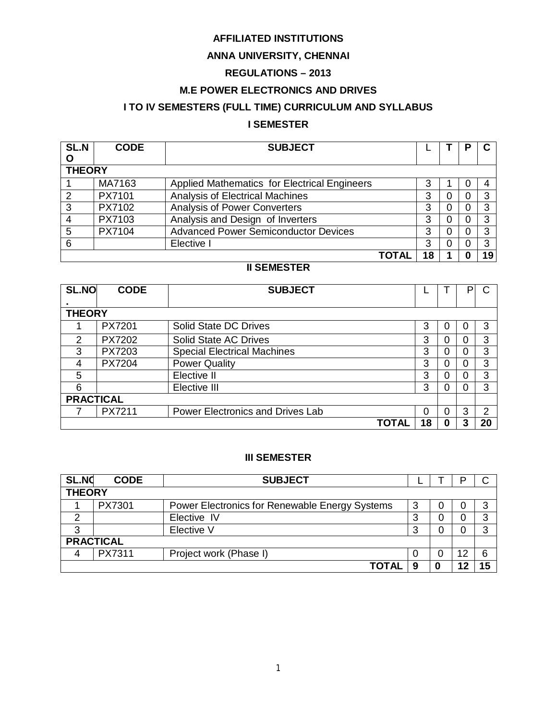# **AFFILIATED INSTITUTIONS**

# **ANNA UNIVERSITY, CHENNAI**

# **REGULATIONS – 2013**

# **M.E POWER ELECTRONICS AND DRIVES**

# **I TO IV SEMESTERS (FULL TIME) CURRICULUM AND SYLLABUS**

# **I SEMESTER**

| <b>SL.N</b> | <b>CODE</b>   | <b>SUBJECT</b>                               |   |   |  |    |
|-------------|---------------|----------------------------------------------|---|---|--|----|
| O           |               |                                              |   |   |  |    |
|             | <b>THEORY</b> |                                              |   |   |  |    |
|             | MA7163        | Applied Mathematics for Electrical Engineers |   |   |  |    |
|             | PX7101        | <b>Analysis of Electrical Machines</b>       | 3 | Ü |  |    |
| 3           | PX7102        | Analysis of Power Converters                 | 3 |   |  |    |
|             | PX7103        | Analysis and Design of Inverters             | 3 | 0 |  |    |
| 5           | PX7104        | <b>Advanced Power Semiconductor Devices</b>  | 3 | 0 |  |    |
|             |               | Elective I                                   | 3 |   |  | 3  |
|             |               | ΤΟΤΑΙ                                        |   |   |  | 19 |

# **II SEMESTER**

| SL.NO            | <b>CODE</b>   | <b>SUBJECT</b>                          |    |   | P |    |
|------------------|---------------|-----------------------------------------|----|---|---|----|
|                  |               |                                         |    |   |   |    |
| <b>THEORY</b>    |               |                                         |    |   |   |    |
|                  | PX7201        | Solid State DC Drives                   | 3  |   |   | 3  |
| 2                | PX7202        | <b>Solid State AC Drives</b>            | 3  | Ω | ი | 3  |
| 3                | PX7203        | <b>Special Electrical Machines</b>      | 3  |   | Ω | 3  |
| 4                | <b>PX7204</b> | <b>Power Quality</b>                    | 3  |   | 0 | 3  |
| 5                |               | Elective II                             | 3  |   | Ω | 3  |
| 6                |               | Elective III                            | 3  |   | Ω | 3  |
| <b>PRACTICAL</b> |               |                                         |    |   |   |    |
|                  | PX7211        | <b>Power Electronics and Drives Lab</b> | 0  | 0 | 3 | 2  |
|                  |               | <b>TOTAL</b>                            | 18 | O | 3 | 20 |

## **III SEMESTER**

| <b>SL.NO</b>     | <b>CODE</b>   | <b>SUBJECT</b>                                 |        |  |    |   |
|------------------|---------------|------------------------------------------------|--------|--|----|---|
|                  | <b>THEORY</b> |                                                |        |  |    |   |
|                  | PX7301        | Power Electronics for Renewable Energy Systems | 3      |  |    | 3 |
| ົ                |               | Elective IV                                    | 3      |  |    | 3 |
| 3                |               | Elective V                                     | 3      |  |    | 3 |
| <b>PRACTICAL</b> |               |                                                |        |  |    |   |
| 4                | PX7311        | Project work (Phase I)                         | $\cup$ |  | 12 | 6 |
|                  |               | <b>TOTAL</b>                                   | 9      |  |    |   |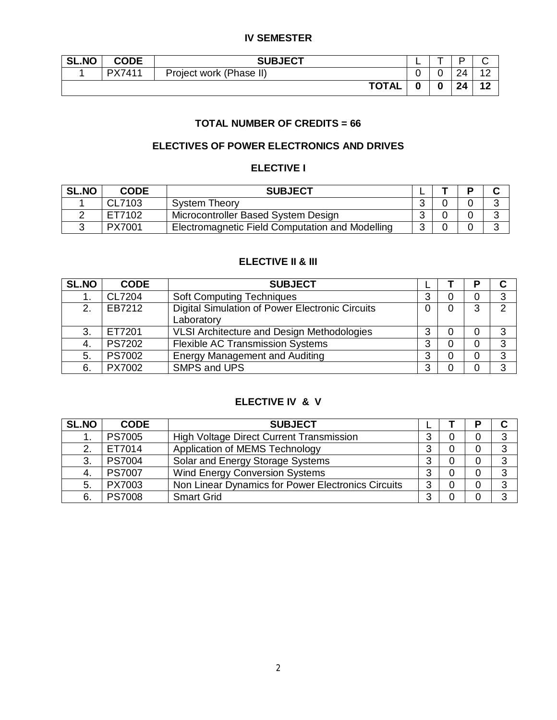# **IV SEMESTER**

| <b>SL.NO</b> | <b>CODE</b> | <b>SUBJECT</b>          | - |      |       |
|--------------|-------------|-------------------------|---|------|-------|
|              | PX7411      | Project work (Phase II) |   | ົາ 4 |       |
|              |             | <b>TOTAL</b>            |   | 24   | $-12$ |

# **TOTAL NUMBER OF CREDITS = 66**

# **ELECTIVES OF POWER ELECTRONICS AND DRIVES**

## **ELECTIVE I**

| <b>SL.NO</b> | <b>CODE</b>   | <b>SUBJECT</b>                                  |            |  |  |
|--------------|---------------|-------------------------------------------------|------------|--|--|
|              | CL7103        | <b>System Theory</b>                            | ⌒          |  |  |
|              | ET7102        | Microcontroller Based System Design             | $\sqrt{2}$ |  |  |
|              | <b>PX7001</b> | Electromagnetic Field Computation and Modelling | ◠          |  |  |

# **ELECTIVE II & III**

| <b>SL.NO</b> | <b>CODE</b>   | <b>SUBJECT</b>                                         |   |   | D |   |
|--------------|---------------|--------------------------------------------------------|---|---|---|---|
|              | CL7204        | <b>Soft Computing Techniques</b>                       | 3 |   | 0 | 3 |
| 2.           | EB7212        | <b>Digital Simulation of Power Electronic Circuits</b> |   | 0 | 3 | 2 |
|              |               | Laboratory                                             |   |   |   |   |
| 3.           | ET7201        | VLSI Architecture and Design Methodologies             | 3 |   | 0 | 3 |
| 4.           | <b>PS7202</b> | <b>Flexible AC Transmission Systems</b>                | 3 |   | 0 | 3 |
| 5.           | <b>PS7002</b> | <b>Energy Management and Auditing</b>                  | 3 | 0 | 0 | 3 |
| 6.           | PX7002        | SMPS and UPS                                           | 3 |   | 0 | 3 |

# **ELECTIVE IV & V**

| <b>SL.NO</b> | <b>CODE</b>   | <b>SUBJECT</b>                                     |   |          | п |   |
|--------------|---------------|----------------------------------------------------|---|----------|---|---|
|              | <b>PS7005</b> | High Voltage Direct Current Transmission           | 3 |          | 0 | 3 |
| 2.           | ET7014        | Application of MEMS Technology                     | 3 |          | 0 | 3 |
| 3.           | <b>PS7004</b> | Solar and Energy Storage Systems                   | 3 | 0        | 0 | 3 |
| 4.           | <b>PS7007</b> | <b>Wind Energy Conversion Systems</b>              | 3 | 0        | 0 | 3 |
| 5.           | PX7003        | Non Linear Dynamics for Power Electronics Circuits | 3 | $\Omega$ | 0 | 3 |
| 6.           | <b>PS7008</b> | <b>Smart Grid</b>                                  | 3 |          | 0 | 3 |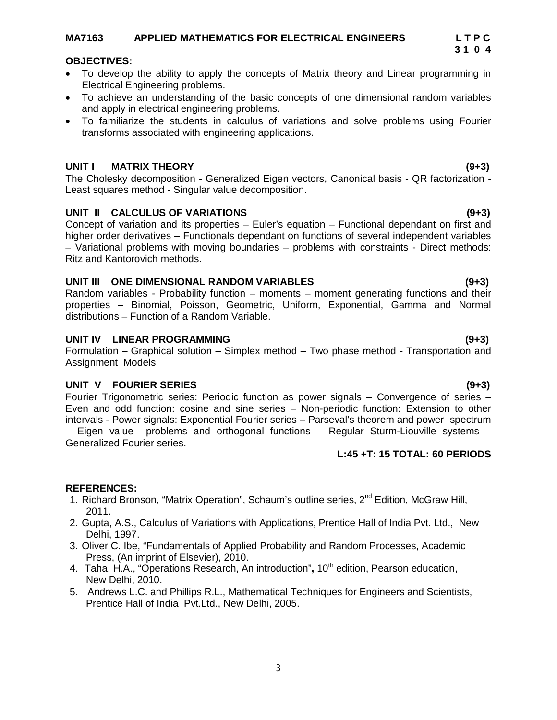# **MA7163 APPLIED MATHEMATICS FOR ELECTRICAL ENGINEERS L T P C**

### **OBJECTIVES:**

- To develop the ability to apply the concepts of Matrix theory and Linear programming in Electrical Engineering problems.
- To achieve an understanding of the basic concepts of one dimensional random variables and apply in electrical engineering problems.
- To familiarize the students in calculus of variations and solve problems using Fourier transforms associated with engineering applications.

### **UNIT I MATRIX THEORY (9+3)**

The Cholesky decomposition - Generalized Eigen vectors, Canonical basis - QR factorization - Least squares method - Singular value decomposition.

### **UNIT II CALCULUS OF VARIATIONS (9+3)**

Concept of variation and its properties – Euler's equation – Functional dependant on first and higher order derivatives – Functionals dependant on functions of several independent variables – Variational problems with moving boundaries – problems with constraints - Direct methods: Ritz and Kantorovich methods.

### **UNIT III ONE DIMENSIONAL RANDOM VARIABLES (9+3)**

Random variables - Probability function – moments – moment generating functions and their properties – Binomial, Poisson, Geometric, Uniform, Exponential, Gamma and Normal distributions – Function of a Random Variable.

### **UNIT IV LINEAR PROGRAMMING (9+3)**

Formulation – Graphical solution – Simplex method – Two phase method - Transportation and Assignment Models

### **UNIT V FOURIER SERIES (9+3)**

Fourier Trigonometric series: Periodic function as power signals – Convergence of series – Even and odd function: cosine and sine series – Non-periodic function: Extension to other intervals - Power signals: Exponential Fourier series – Parseval's theorem and power spectrum – Eigen value problems and orthogonal functions – Regular Sturm-Liouville systems – Generalized Fourier series.

### **REFERENCES:**

- 1. Richard Bronson, "Matrix Operation", Schaum's outline series, 2<sup>nd</sup> Edition, McGraw Hill, 2011.
- 2. Gupta, A.S., Calculus of Variations with Applications, Prentice Hall of India Pvt. Ltd., New Delhi, 1997.
- 3. Oliver C. Ibe, "Fundamentals of Applied Probability and Random Processes, Academic Press, (An imprint of Elsevier), 2010.
- 4. Taha, H.A., "Operations Research, An introduction", 10<sup>th</sup> edition, Pearson education, New Delhi, 2010.
- 5. Andrews L.C. and Phillips R.L., Mathematical Techniques for Engineers and Scientists, Prentice Hall of India Pvt.Ltd., New Delhi, 2005.

**L:45 +T: 15 TOTAL: 60 PERIODS**

# **3 1 0 4**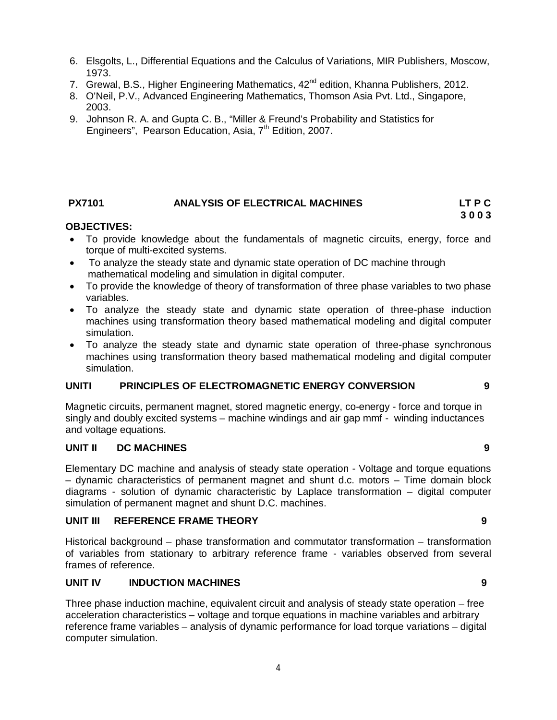- 6. Elsgolts, L., Differential Equations and the Calculus of Variations, MIR Publishers, Moscow, 1973.
- 7. Grewal, B.S., Higher Engineering Mathematics, 42<sup>nd</sup> edition, Khanna Publishers, 2012.
- 8. O'Neil, P.V., Advanced Engineering Mathematics, Thomson Asia Pvt. Ltd., Singapore, 2003.
- 9. Johnson R. A. and Gupta C. B., "Miller & Freund's Probability and Statistics for Engineers", Pearson Education, Asia,  $7<sup>th</sup>$  Edition, 2007.

## **PX7101 ANALYSIS OF ELECTRICAL MACHINES LT P C**

 **3 0 0 3**

### **OBJECTIVES:**

- To provide knowledge about the fundamentals of magnetic circuits, energy, force and torque of multi-excited systems.
- To analyze the steady state and dynamic state operation of DC machine through mathematical modeling and simulation in digital computer.
- To provide the knowledge of theory of transformation of three phase variables to two phase variables.
- To analyze the steady state and dynamic state operation of three-phase induction machines using transformation theory based mathematical modeling and digital computer simulation.
- To analyze the steady state and dynamic state operation of three-phase synchronous machines using transformation theory based mathematical modeling and digital computer simulation.

# **UNITI PRINCIPLES OF ELECTROMAGNETIC ENERGY CONVERSION 9**

Magnetic circuits, permanent magnet, stored magnetic energy, co-energy - force and torque in singly and doubly excited systems – machine windings and air gap mmf - winding inductances and voltage equations.

### **UNIT II DC MACHINES 9**

Elementary DC machine and analysis of steady state operation - Voltage and torque equations – dynamic characteristics of permanent magnet and shunt d.c. motors – Time domain block diagrams - solution of dynamic characteristic by Laplace transformation – digital computer simulation of permanent magnet and shunt D.C. machines.

### **UNIT III REFERENCE FRAME THEORY 9**

Historical background – phase transformation and commutator transformation – transformation of variables from stationary to arbitrary reference frame - variables observed from several frames of reference.

## **UNIT IV INDUCTION MACHINES 9**

Three phase induction machine, equivalent circuit and analysis of steady state operation – free acceleration characteristics – voltage and torque equations in machine variables and arbitrary reference frame variables – analysis of dynamic performance for load torque variations – digital computer simulation.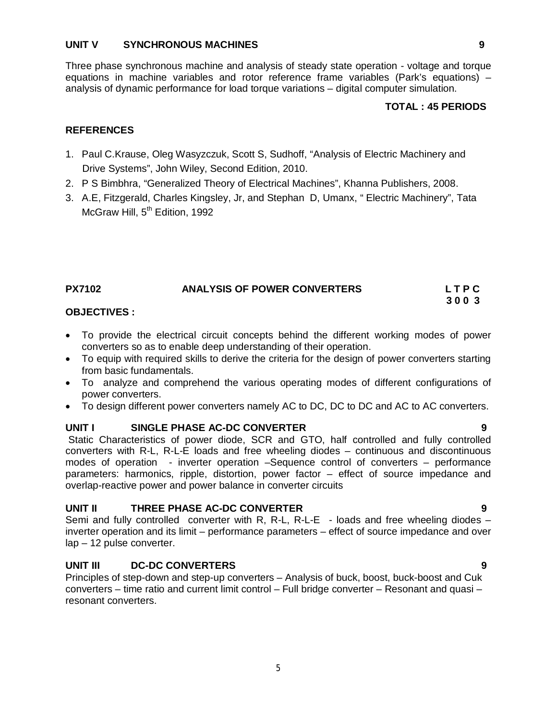### **UNIT V SYNCHRONOUS MACHINES 9**

Three phase synchronous machine and analysis of steady state operation - voltage and torque equations in machine variables and rotor reference frame variables (Park's equations) – analysis of dynamic performance for load torque variations – digital computer simulation.

# **TOTAL : 45 PERIODS**

## **REFERENCES**

- 1. Paul C.Krause, Oleg Wasyzczuk, Scott S, Sudhoff, "Analysis of Electric Machinery and Drive Systems", John Wiley, Second Edition, 2010.
- 2. P S Bimbhra, "Generalized Theory of Electrical Machines", Khanna Publishers, 2008.
- 3. A.E, Fitzgerald, Charles Kingsley, Jr, and Stephan D, Umanx, " Electric Machinery", Tata McGraw Hill, 5<sup>th</sup> Edition, 1992

### **PX7102 ANALYSIS OF POWER CONVERTERS L T P C 3 0 0 3**

### **OBJECTIVES :**

- To provide the electrical circuit concepts behind the different working modes of power converters so as to enable deep understanding of their operation.
- To equip with required skills to derive the criteria for the design of power converters starting from basic fundamentals.
- To analyze and comprehend the various operating modes of different configurations of power converters.
- To design different power converters namely AC to DC, DC to DC and AC to AC converters.

## **UNIT I SINGLE PHASE AC-DC CONVERTER 9**

Static Characteristics of power diode, SCR and GTO, half controlled and fully controlled converters with R-L, R-L-E loads and free wheeling diodes – continuous and discontinuous modes of operation - inverter operation –Sequence control of converters – performance parameters: harmonics, ripple, distortion, power factor – effect of source impedance and overlap-reactive power and power balance in converter circuits

### **UNIT II THREE PHASE AC-DC CONVERTER 9**

Semi and fully controlled converter with R, R-L, R-L-E - loads and free wheeling diodes – inverter operation and its limit – performance parameters – effect of source impedance and over lap – 12 pulse converter.

## **UNIT III DC-DC CONVERTERS 9**

Principles of step-down and step-up converters – Analysis of buck, boost, buck-boost and Cuk converters – time ratio and current limit control – Full bridge converter – Resonant and quasi – resonant converters.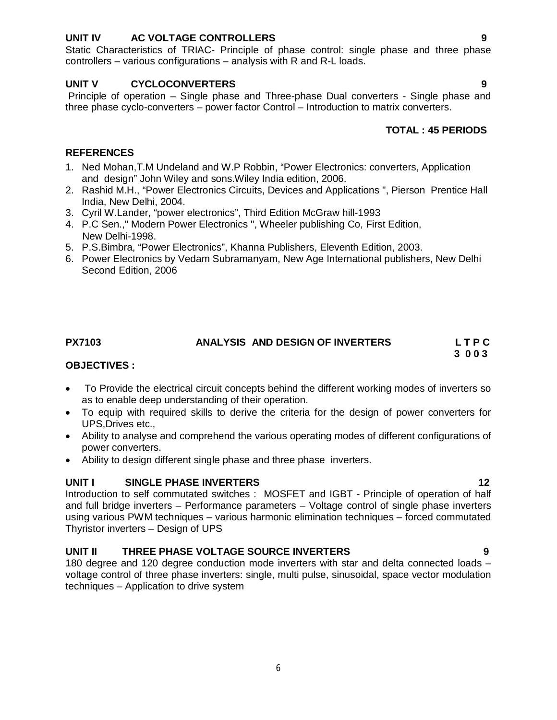## **UNIT IV AC VOLTAGE CONTROLLERS 9**

Static Characteristics of TRIAC- Principle of phase control: single phase and three phase controllers – various configurations – analysis with R and R-L loads.

### **UNIT V CYCLOCONVERTERS 9**

Principle of operation – Single phase and Three-phase Dual converters - Single phase and three phase cyclo-converters – power factor Control – Introduction to matrix converters.

# **TOTAL : 45 PERIODS**

### **REFERENCES**

- 1. Ned Mohan,T.M Undeland and W.P Robbin, "Power Electronics: converters, Application and design" John Wiley and sons.Wiley India edition, 2006.
- 2. Rashid M.H., "Power Electronics Circuits, Devices and Applications ", Pierson Prentice Hall India, New Delhi, 2004.
- 3. Cyril W.Lander, "power electronics", Third Edition McGraw hill-1993
- 4. P.C Sen.," Modern Power Electronics ", Wheeler publishing Co, First Edition, New Delhi-1998.
- 5. P.S.Bimbra, "Power Electronics", Khanna Publishers, Eleventh Edition, 2003.
- 6. Power Electronics by Vedam Subramanyam, New Age International publishers, New Delhi Second Edition, 2006

# **PX7103 ANALYSIS AND DESIGN OF INVERTERS L T P C**

# **3 0 0 3**

### **OBJECTIVES :**

- To Provide the electrical circuit concepts behind the different working modes of inverters so as to enable deep understanding of their operation.
- To equip with required skills to derive the criteria for the design of power converters for UPS,Drives etc.,
- Ability to analyse and comprehend the various operating modes of different configurations of power converters.
- Ability to design different single phase and three phase inverters.

## **UNIT I SINGLE PHASE INVERTERS 12**

Introduction to self commutated switches : MOSFET and IGBT - Principle of operation of half and full bridge inverters – Performance parameters – Voltage control of single phase inverters using various PWM techniques – various harmonic elimination techniques – forced commutated Thyristor inverters – Design of UPS

## **UNIT II THREE PHASE VOLTAGE SOURCE INVERTERS 9**

180 degree and 120 degree conduction mode inverters with star and delta connected loads – voltage control of three phase inverters: single, multi pulse, sinusoidal, space vector modulation techniques – Application to drive system

6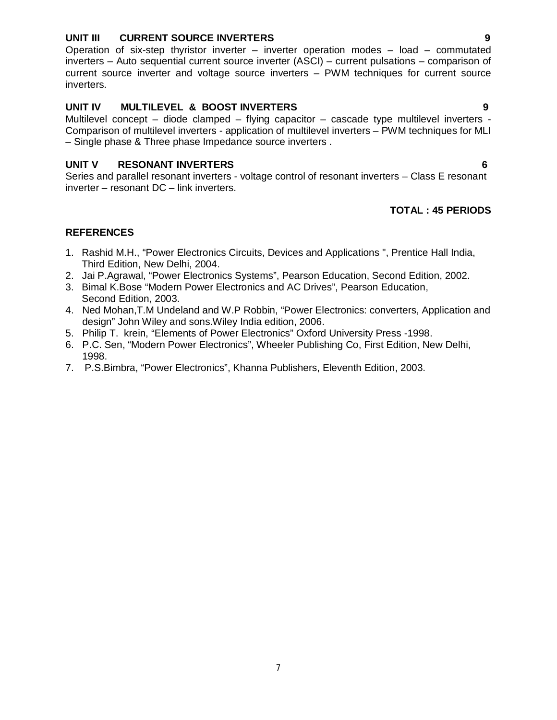### **UNIT III CURRENT SOURCE INVERTERS 9**

Operation of six-step thyristor inverter – inverter operation modes – load – commutated inverters – Auto sequential current source inverter (ASCI) – current pulsations – comparison of current source inverter and voltage source inverters – PWM techniques for current source inverters.

# **UNIT IV MULTILEVEL & BOOST INVERTERS 9**

Multilevel concept – diode clamped – flying capacitor – cascade type multilevel inverters - Comparison of multilevel inverters - application of multilevel inverters – PWM techniques for MLI – Single phase & Three phase Impedance source inverters .

# **UNIT V RESONANT INVERTERS 6**

Series and parallel resonant inverters - voltage control of resonant inverters – Class E resonant inverter – resonant DC – link inverters.

# **TOTAL : 45 PERIODS**

## **REFERENCES**

- 1. Rashid M.H., "Power Electronics Circuits, Devices and Applications ", Prentice Hall India, Third Edition, New Delhi, 2004.
- 2. Jai P.Agrawal, "Power Electronics Systems", Pearson Education, Second Edition, 2002.
- 3. Bimal K.Bose "Modern Power Electronics and AC Drives", Pearson Education, Second Edition, 2003.
- 4. Ned Mohan,T.M Undeland and W.P Robbin, "Power Electronics: converters, Application and design" John Wiley and sons.Wiley India edition, 2006.
- 5. Philip T. krein, "Elements of Power Electronics" Oxford University Press -1998.
- 6. P.C. Sen, "Modern Power Electronics", Wheeler Publishing Co, First Edition, New Delhi, 1998.
- 7. P.S.Bimbra, "Power Electronics", Khanna Publishers, Eleventh Edition, 2003.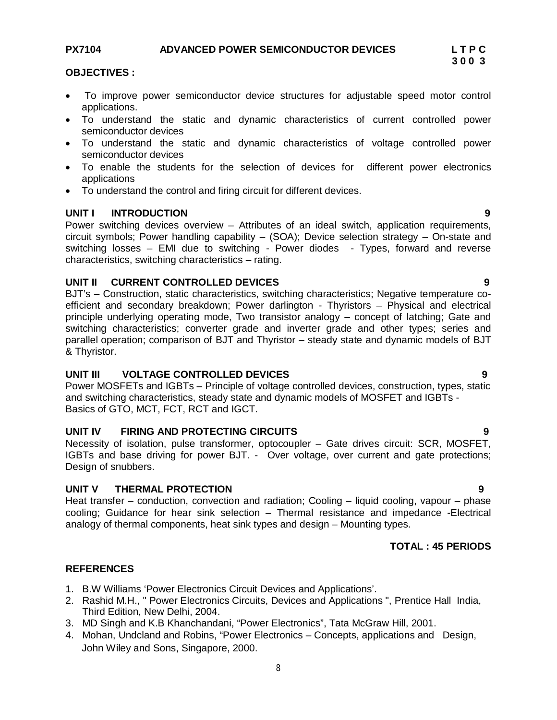# PX7104 ADVANCED POWER SEMICONDUCTOR DEVICES L T P C<br>3 0 0 3

### **OBJECTIVES :**

- To improve power semiconductor device structures for adjustable speed motor control applications.
- To understand the static and dynamic characteristics of current controlled power semiconductor devices
- To understand the static and dynamic characteristics of voltage controlled power semiconductor devices
- To enable the students for the selection of devices for different power electronics applications
- To understand the control and firing circuit for different devices.

### **UNIT I INTRODUCTION 9**

Power switching devices overview – Attributes of an ideal switch, application requirements, circuit symbols; Power handling capability – (SOA); Device selection strategy – On-state and switching losses – EMI due to switching - Power diodes - Types, forward and reverse characteristics, switching characteristics – rating.

### **UNIT II CURRENT CONTROLLED DEVICES 9**

BJT's – Construction, static characteristics, switching characteristics; Negative temperature coefficient and secondary breakdown; Power darlington - Thyristors – Physical and electrical principle underlying operating mode, Two transistor analogy – concept of latching; Gate and switching characteristics; converter grade and inverter grade and other types; series and parallel operation; comparison of BJT and Thyristor – steady state and dynamic models of BJT & Thyristor.

## **UNIT III VOLTAGE CONTROLLED DEVICES 9**

Power MOSFETs and IGBTs – Principle of voltage controlled devices, construction, types, static and switching characteristics, steady state and dynamic models of MOSFET and IGBTs - Basics of GTO, MCT, FCT, RCT and IGCT.

# **UNIT IV FIRING AND PROTECTING CIRCUITS 9**

Necessity of isolation, pulse transformer, optocoupler – Gate drives circuit: SCR, MOSFET, IGBTs and base driving for power BJT. - Over voltage, over current and gate protections; Design of snubbers.

### **UNIT V THERMAL PROTECTION 9**

Heat transfer – conduction, convection and radiation; Cooling – liquid cooling, vapour – phase cooling; Guidance for hear sink selection – Thermal resistance and impedance -Electrical analogy of thermal components, heat sink types and design – Mounting types.

# **TOTAL : 45 PERIODS**

### **REFERENCES**

- 1. B.W Williams 'Power Electronics Circuit Devices and Applications'.
- 2. Rashid M.H., " Power Electronics Circuits, Devices and Applications ", Prentice Hall India, Third Edition, New Delhi, 2004.
- 3. MD Singh and K.B Khanchandani, "Power Electronics", Tata McGraw Hill, 2001.
- 4. Mohan, Undcland and Robins, "Power Electronics Concepts, applications and Design, John Wiley and Sons, Singapore, 2000.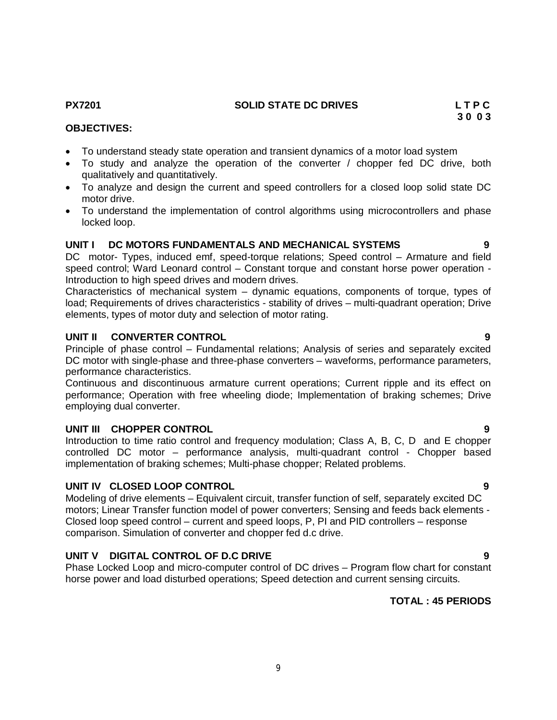# **PX7201 SOLID STATE DC DRIVES L T P C**

### **OBJECTIVES:**

- To understand steady state operation and transient dynamics of a motor load system
- To study and analyze the operation of the converter / chopper fed DC drive, both qualitatively and quantitatively.
- To analyze and design the current and speed controllers for a closed loop solid state DC motor drive.
- To understand the implementation of control algorithms using microcontrollers and phase locked loop.

### **UNIT I DC MOTORS FUNDAMENTALS AND MECHANICAL SYSTEMS 9**

DC motor- Types, induced emf, speed-torque relations; Speed control – Armature and field speed control; Ward Leonard control – Constant torque and constant horse power operation - Introduction to high speed drives and modern drives.

Characteristics of mechanical system – dynamic equations, components of torque, types of load; Requirements of drives characteristics - stability of drives – multi-quadrant operation; Drive elements, types of motor duty and selection of motor rating.

### **UNIT II CONVERTER CONTROL 9**

Principle of phase control – Fundamental relations; Analysis of series and separately excited DC motor with single-phase and three-phase converters – waveforms, performance parameters, performance characteristics.

Continuous and discontinuous armature current operations; Current ripple and its effect on performance; Operation with free wheeling diode; Implementation of braking schemes; Drive employing dual converter.

### **UNIT III CHOPPER CONTROL 9**

Introduction to time ratio control and frequency modulation; Class A, B, C, D and E chopper controlled DC motor – performance analysis, multi-quadrant control - Chopper based implementation of braking schemes; Multi-phase chopper; Related problems.

## **UNIT IV CLOSED LOOP CONTROL 9**

Modeling of drive elements – Equivalent circuit, transfer function of self, separately excited DC motors; Linear Transfer function model of power converters; Sensing and feeds back elements - Closed loop speed control – current and speed loops, P, PI and PID controllers – response comparison. Simulation of converter and chopper fed d.c drive.

## **UNIT V DIGITAL CONTROL OF D.C DRIVE 9**

Phase Locked Loop and micro-computer control of DC drives – Program flow chart for constant horse power and load disturbed operations; Speed detection and current sensing circuits.

# **TOTAL : 45 PERIODS**

# **3 0 0 3**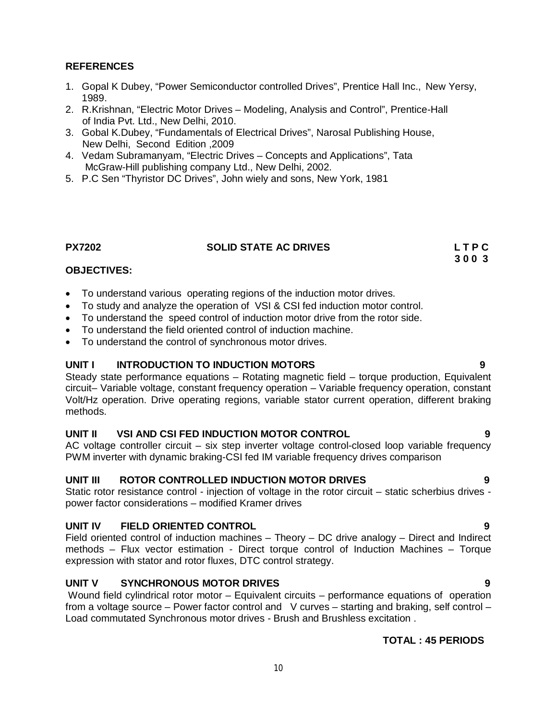## **REFERENCES**

- 1. Gopal K Dubey, "Power Semiconductor controlled Drives", Prentice Hall Inc., New Yersy, 1989.
- 2. R.Krishnan, "Electric Motor Drives Modeling, Analysis and Control", Prentice-Hall of India Pvt. Ltd., New Delhi, 2010.
- 3. Gobal K.Dubey, "Fundamentals of Electrical Drives", Narosal Publishing House, New Delhi, Second Edition ,2009
- 4. Vedam Subramanyam, "Electric Drives Concepts and Applications", Tata McGraw-Hill publishing company Ltd., New Delhi, 2002.
- 5. P.C Sen "Thyristor DC Drives", John wiely and sons, New York, 1981

### **PX7202 SOLID STATE AC DRIVES L T P C**

 **3 0 0 3**

# **OBJECTIVES:**

- To understand various operating regions of the induction motor drives.
- To study and analyze the operation of VSI & CSI fed induction motor control.
- To understand the speed control of induction motor drive from the rotor side.
- To understand the field oriented control of induction machine.
- To understand the control of synchronous motor drives.

## **UNIT I INTRODUCTION TO INDUCTION MOTORS 9**

Steady state performance equations – Rotating magnetic field – torque production, Equivalent circuit– Variable voltage, constant frequency operation – Variable frequency operation, constant Volt/Hz operation. Drive operating regions, variable stator current operation, different braking methods.

## **UNIT II VSI AND CSI FED INDUCTION MOTOR CONTROL 9**

AC voltage controller circuit – six step inverter voltage control-closed loop variable frequency PWM inverter with dynamic braking-CSI fed IM variable frequency drives comparison

### **UNIT III ROTOR CONTROLLED INDUCTION MOTOR DRIVES 9**

Static rotor resistance control - injection of voltage in the rotor circuit – static scherbius drives power factor considerations – modified Kramer drives

## **UNIT IV FIELD ORIENTED CONTROL 9**

Field oriented control of induction machines – Theory – DC drive analogy – Direct and Indirect methods – Flux vector estimation - Direct torque control of Induction Machines – Torque expression with stator and rotor fluxes, DTC control strategy.

## **UNIT V SYNCHRONOUS MOTOR DRIVES 9**

Wound field cylindrical rotor motor – Equivalent circuits – performance equations of operation from a voltage source – Power factor control and V curves – starting and braking, self control – Load commutated Synchronous motor drives - Brush and Brushless excitation .

## **TOTAL : 45 PERIODS**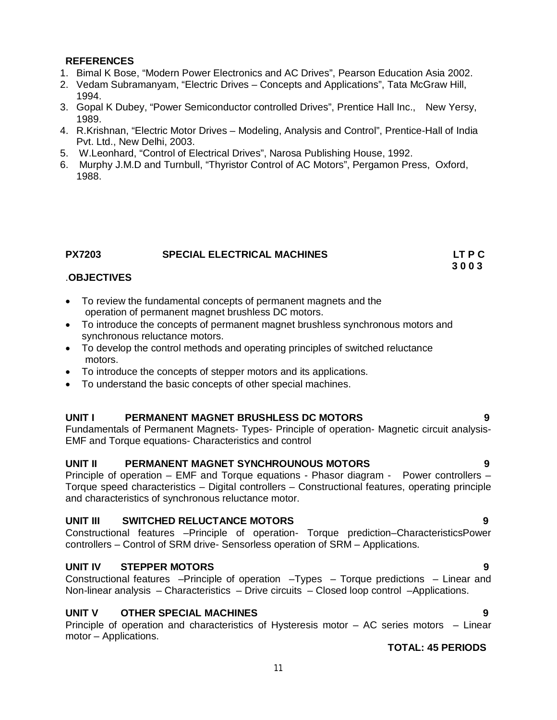### **REFERENCES**

- 1. Bimal K Bose, "Modern Power Electronics and AC Drives", Pearson Education Asia 2002.
- 2. Vedam Subramanyam, "Electric Drives Concepts and Applications", Tata McGraw Hill, 1994.
- 3. Gopal K Dubey, "Power Semiconductor controlled Drives", Prentice Hall Inc., New Yersy, 1989.
- 4. R.Krishnan, "Electric Motor Drives Modeling, Analysis and Control", Prentice-Hall of India Pvt. Ltd., New Delhi, 2003.
- 5. W.Leonhard, "Control of Electrical Drives", Narosa Publishing House, 1992.
- 6. Murphy J.M.D and Turnbull, "Thyristor Control of AC Motors", Pergamon Press, Oxford, 1988.

# **PX7203 SPECIAL ELECTRICAL MACHINES LT P C**

### **3 0 0 3** .**OBJECTIVES**

- To review the fundamental concepts of permanent magnets and the operation of permanent magnet brushless DC motors.
- To introduce the concepts of permanent magnet brushless synchronous motors and synchronous reluctance motors.
- To develop the control methods and operating principles of switched reluctance motors.
- To introduce the concepts of stepper motors and its applications.
- To understand the basic concepts of other special machines.

## **UNIT I PERMANENT MAGNET BRUSHLESS DC MOTORS 9**

Fundamentals of Permanent Magnets- Types- Principle of operation- Magnetic circuit analysis-EMF and Torque equations- Characteristics and control

### **UNIT II PERMANENT MAGNET SYNCHROUNOUS MOTORS 9**

Principle of operation – EMF and Torque equations - Phasor diagram - Power controllers – Torque speed characteristics – Digital controllers – Constructional features, operating principle and characteristics of synchronous reluctance motor.

## **UNIT III SWITCHED RELUCTANCE MOTORS** 9

Constructional features –Principle of operation- Torque prediction–CharacteristicsPower controllers – Control of SRM drive- Sensorless operation of SRM – Applications.

### **UNIT IV STEPPER MOTORS** 9

Constructional features –Principle of operation –Types – Torque predictions – Linear and Non-linear analysis – Characteristics – Drive circuits – Closed loop control –Applications.

## **UNIT V OTHER SPECIAL MACHINES 9**

Principle of operation and characteristics of Hysteresis motor – AC series motors – Linear motor – Applications.

## **TOTAL: 45 PERIODS**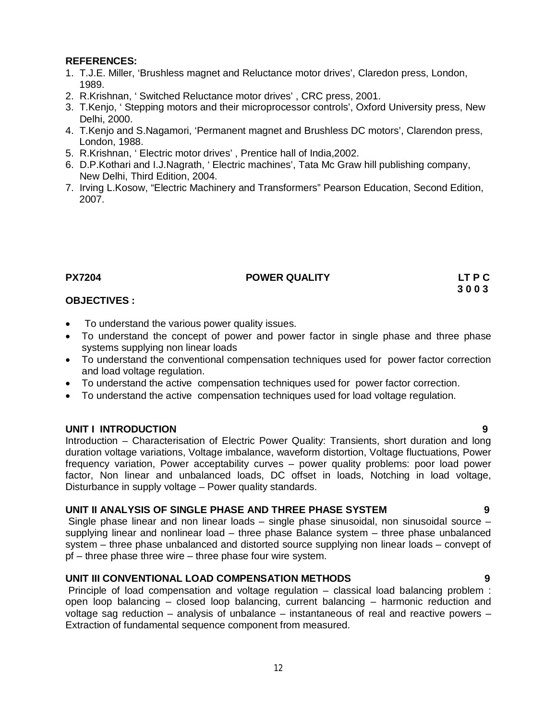### **REFERENCES:**

- 1. T.J.E. Miller, 'Brushless magnet and Reluctance motor drives', Claredon press, London, 1989.
- 2. R.Krishnan, ' Switched Reluctance motor drives' , CRC press, 2001.
- 3. T.Kenjo, ' Stepping motors and their microprocessor controls', Oxford University press, New Delhi, 2000.
- 4. T.Kenjo and S.Nagamori, 'Permanent magnet and Brushless DC motors', Clarendon press, London, 1988.
- 5. R.Krishnan, ' Electric motor drives' , Prentice hall of India,2002.
- 6. D.P.Kothari and I.J.Nagrath, ' Electric machines', Tata Mc Graw hill publishing company, New Delhi, Third Edition, 2004.
- 7. Irving L.Kosow, "Electric Machinery and Transformers" Pearson Education, Second Edition, 2007.

## **PX7204 POWER QUALITY LT P C**

### **3 0 0 3 OBJECTIVES :**

- To understand the various power quality issues.
- To understand the concept of power and power factor in single phase and three phase systems supplying non linear loads
- To understand the conventional compensation techniques used for power factor correction and load voltage regulation.
- To understand the active compensation techniques used for power factor correction.
- To understand the active compensation techniques used for load voltage regulation.

### **UNIT I INTRODUCTION 9**

Introduction – Characterisation of Electric Power Quality: Transients, short duration and long duration voltage variations, Voltage imbalance, waveform distortion, Voltage fluctuations, Power frequency variation, Power acceptability curves – power quality problems: poor load power factor, Non linear and unbalanced loads, DC offset in loads, Notching in load voltage, Disturbance in supply voltage – Power quality standards.

### **UNIT II ANALYSIS OF SINGLE PHASE AND THREE PHASE SYSTEM 9**

Single phase linear and non linear loads – single phase sinusoidal, non sinusoidal source – supplying linear and nonlinear load – three phase Balance system – three phase unbalanced system – three phase unbalanced and distorted source supplying non linear loads – convept of pf – three phase three wire – three phase four wire system.

### **UNIT III CONVENTIONAL LOAD COMPENSATION METHODS 9**

Principle of load compensation and voltage regulation – classical load balancing problem : open loop balancing – closed loop balancing, current balancing – harmonic reduction and voltage sag reduction – analysis of unbalance – instantaneous of real and reactive powers – Extraction of fundamental sequence component from measured.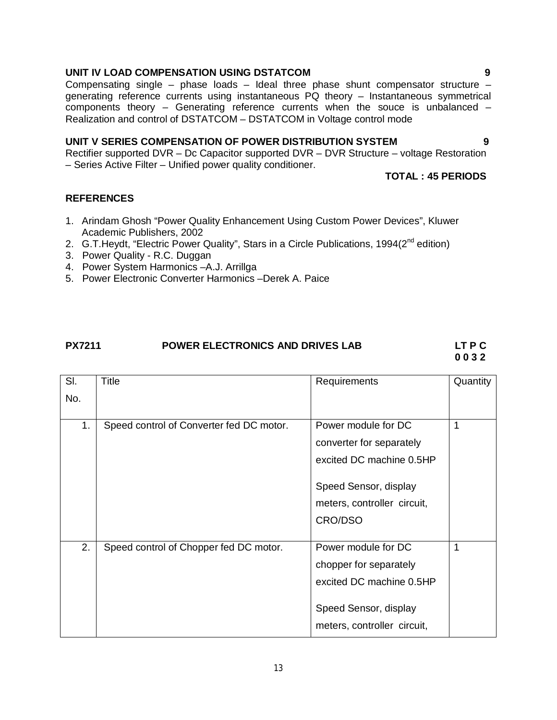# **UNIT IV LOAD COMPENSATION USING DSTATCOM 9**

Compensating single – phase loads – Ideal three phase shunt compensator structure – generating reference currents using instantaneous PQ theory – Instantaneous symmetrical components theory – Generating reference currents when the souce is unbalanced – Realization and control of DSTATCOM – DSTATCOM in Voltage control mode

# **UNIT V SERIES COMPENSATION OF POWER DISTRIBUTION SYSTEM 9**

Rectifier supported DVR – Dc Capacitor supported DVR – DVR Structure – voltage Restoration – Series Active Filter – Unified power quality conditioner.

# **TOTAL : 45 PERIODS**

# **REFERENCES**

- 1. Arindam Ghosh "Power Quality Enhancement Using Custom Power Devices", Kluwer Academic Publishers, 2002
- 2. G.T. Heydt, "Electric Power Quality", Stars in a Circle Publications, 1994(2<sup>nd</sup> edition)
- 3. Power Quality R.C. Duggan
- 4. Power System Harmonics –A.J. Arrillga
- 5. Power Electronic Converter Harmonics –Derek A. Paice

# **PX7211 POWER ELECTRONICS AND DRIVES LAB LT P C**

| SI. | Title                                    | Requirements                                                                                                                                   | Quantity |
|-----|------------------------------------------|------------------------------------------------------------------------------------------------------------------------------------------------|----------|
| No. |                                          |                                                                                                                                                |          |
| 1.  | Speed control of Converter fed DC motor. | Power module for DC<br>converter for separately<br>excited DC machine 0.5HP<br>Speed Sensor, display<br>meters, controller circuit,<br>CRO/DSO | 1        |
| 2.  | Speed control of Chopper fed DC motor.   | Power module for DC<br>chopper for separately<br>excited DC machine 0.5HP<br>Speed Sensor, display<br>meters, controller circuit,              | 1        |

# **0 0 3 2**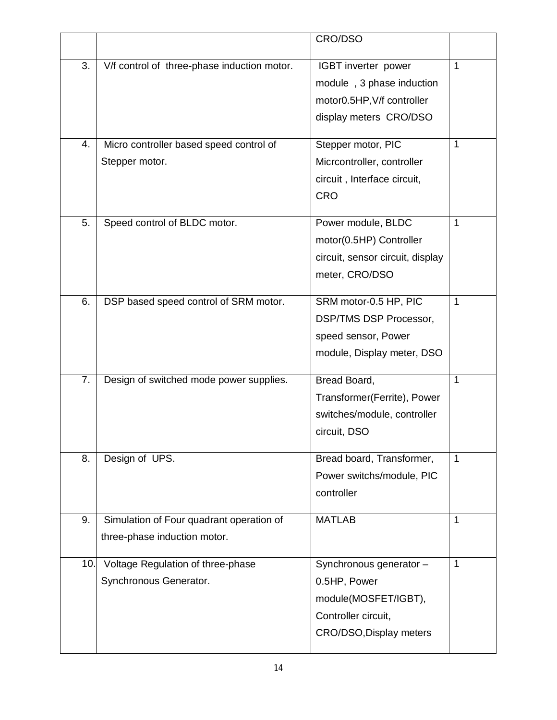|     |                                             | CRO/DSO                          |              |
|-----|---------------------------------------------|----------------------------------|--------------|
|     |                                             |                                  |              |
| 3.  | V/f control of three-phase induction motor. | IGBT inverter power              | $\mathbf{1}$ |
|     |                                             | module, 3 phase induction        |              |
|     |                                             | motor0.5HP, V/f controller       |              |
|     |                                             | display meters CRO/DSO           |              |
| 4.  | Micro controller based speed control of     | Stepper motor, PIC               | $\mathbf{1}$ |
|     | Stepper motor.                              | Micrcontroller, controller       |              |
|     |                                             | circuit, Interface circuit,      |              |
|     |                                             | <b>CRO</b>                       |              |
| 5.  |                                             |                                  | $\mathbf{1}$ |
|     | Speed control of BLDC motor.                | Power module, BLDC               |              |
|     |                                             | motor(0.5HP) Controller          |              |
|     |                                             | circuit, sensor circuit, display |              |
|     |                                             | meter, CRO/DSO                   |              |
| 6.  | DSP based speed control of SRM motor.       | SRM motor-0.5 HP, PIC            | $\mathbf 1$  |
|     |                                             | <b>DSP/TMS DSP Processor,</b>    |              |
|     |                                             | speed sensor, Power              |              |
|     |                                             | module, Display meter, DSO       |              |
|     |                                             |                                  |              |
| 7.  | Design of switched mode power supplies.     | Bread Board,                     | $\mathbf{1}$ |
|     |                                             | Transformer(Ferrite), Power      |              |
|     |                                             | switches/module, controller      |              |
|     |                                             | circuit, DSO                     |              |
| 8.  | Design of UPS.                              | Bread board, Transformer,        | 1            |
|     |                                             | Power switchs/module, PIC        |              |
|     |                                             | controller                       |              |
|     |                                             |                                  |              |
| 9.  | Simulation of Four quadrant operation of    | <b>MATLAB</b>                    | $\mathbf{1}$ |
|     | three-phase induction motor.                |                                  |              |
| 10. | Voltage Regulation of three-phase           | Synchronous generator -          | $\mathbf{1}$ |
|     | Synchronous Generator.                      | 0.5HP, Power                     |              |
|     |                                             | module(MOSFET/IGBT),             |              |
|     |                                             | Controller circuit,              |              |
|     |                                             | CRO/DSO, Display meters          |              |
|     |                                             |                                  |              |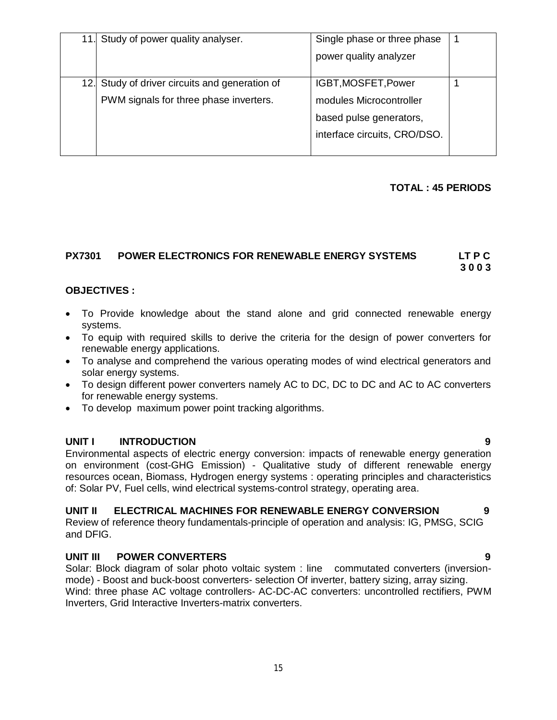| 11.1 | Study of power quality analyser.           | Single phase or three phase  |  |
|------|--------------------------------------------|------------------------------|--|
|      |                                            | power quality analyzer       |  |
|      |                                            |                              |  |
| 12.  | Study of driver circuits and generation of | IGBT, MOSFET, Power          |  |
|      | PWM signals for three phase inverters.     | modules Microcontroller      |  |
|      |                                            | based pulse generators,      |  |
|      |                                            | interface circuits, CRO/DSO. |  |
|      |                                            |                              |  |

## **TOTAL : 45 PERIODS**

# **PX7301 POWER ELECTRONICS FOR RENEWABLE ENERGY SYSTEMS LT P C**

 **3 0 0 3**

### **OBJECTIVES :**

- To Provide knowledge about the stand alone and grid connected renewable energy systems.
- To equip with required skills to derive the criteria for the design of power converters for renewable energy applications.
- To analyse and comprehend the various operating modes of wind electrical generators and solar energy systems.
- To design different power converters namely AC to DC, DC to DC and AC to AC converters for renewable energy systems.
- To develop maximum power point tracking algorithms.

### **UNIT I INTRODUCTION 9**

Environmental aspects of electric energy conversion: impacts of renewable energy generation on environment (cost-GHG Emission) - Qualitative study of different renewable energy resources ocean, Biomass, Hydrogen energy systems : operating principles and characteristics of: Solar PV, Fuel cells, wind electrical systems-control strategy, operating area.

## **UNIT II ELECTRICAL MACHINES FOR RENEWABLE ENERGY CONVERSION 9**

Review of reference theory fundamentals-principle of operation and analysis: IG, PMSG, SCIG and DFIG.

## **UNIT III POWER CONVERTERS 9**

Solar: Block diagram of solar photo voltaic system : line commutated converters (inversionmode) - Boost and buck-boost converters- selection Of inverter, battery sizing, array sizing. Wind: three phase AC voltage controllers- AC-DC-AC converters: uncontrolled rectifiers, PWM Inverters, Grid Interactive Inverters-matrix converters.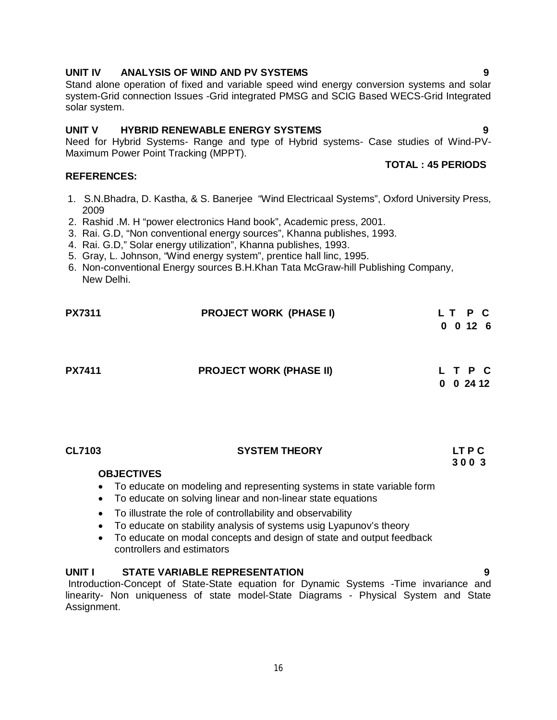# **UNIT IV ANALYSIS OF WIND AND PV SYSTEMS 9**

Stand alone operation of fixed and variable speed wind energy conversion systems and solar system-Grid connection Issues -Grid integrated PMSG and SCIG Based WECS-Grid Integrated solar system.

# **UNIT V HYBRID RENEWABLE ENERGY SYSTEMS 9**

Need for Hybrid Systems- Range and type of Hybrid systems- Case studies of Wind-PV-Maximum Power Point Tracking (MPPT).

## **REFERENCES:**

- 1. S.N.Bhadra, D. Kastha, & S. Banerjee "Wind Electricaal Systems", Oxford University Press, 2009
- 2. Rashid .M. H "power electronics Hand book", Academic press, 2001.
- 3. Rai. G.D, "Non conventional energy sources", Khanna publishes, 1993.
- 4. Rai. G.D," Solar energy utilization", Khanna publishes, 1993.
- 5. Gray, L. Johnson, "Wind energy system", prentice hall linc, 1995.
- 6. Non-conventional Energy sources B.H.Khan Tata McGraw-hill Publishing Company, New Delhi.

| <b>PX7311</b> | <b>PROJECT WORK (PHASE I)</b>  | LT P C<br>$0 \t0 \t12 \t6$ |
|---------------|--------------------------------|----------------------------|
| <b>PX7411</b> | <b>PROJECT WORK (PHASE II)</b> | LTPC<br>$0 \t0 \t24 \t12$  |

| <b>CL7103</b> | <b>SYSTEM THEORY</b> | <b>LTPC</b> |
|---------------|----------------------|-------------|
|               |                      | 3003        |

## **OBJECTIVES**

- To educate on modeling and representing systems in state variable form
- To educate on solving linear and non-linear state equations
- To illustrate the role of controllability and observability
- To educate on stability analysis of systems usig Lyapunov's theory
- To educate on modal concepts and design of state and output feedback controllers and estimators

# **UNIT I STATE VARIABLE REPRESENTATION 9**

Introduction-Concept of State-State equation for Dynamic Systems -Time invariance and linearity- Non uniqueness of state model-State Diagrams - Physical System and State Assignment.

**TOTAL : 45 PERIODS**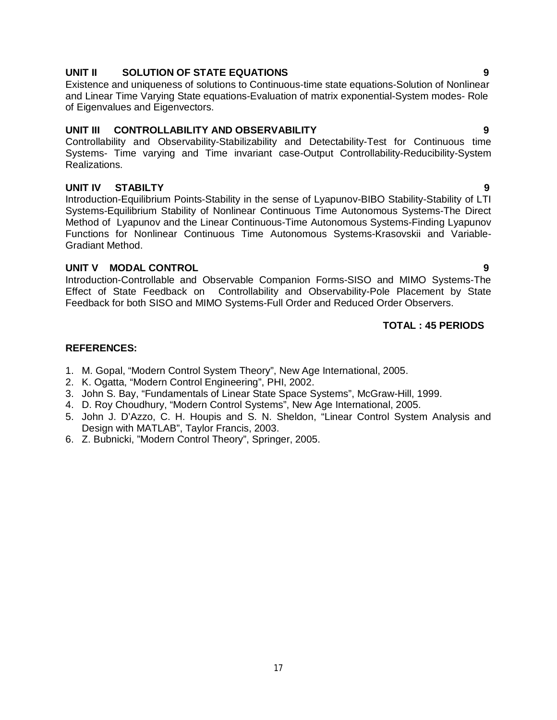# **UNIT II SOLUTION OF STATE EQUATIONS 9**

Existence and uniqueness of solutions to Continuous-time state equations-Solution of Nonlinear and Linear Time Varying State equations-Evaluation of matrix exponential-System modes- Role of Eigenvalues and Eigenvectors.

## **UNIT III CONTROLLABILITY AND OBSERVABILITY 9**

Controllability and Observability-Stabilizability and Detectability-Test for Continuous time Systems- Time varying and Time invariant case-Output Controllability-Reducibility-System Realizations.

# **UNIT IV STABILTY 9**

Introduction-Equilibrium Points-Stability in the sense of Lyapunov-BIBO Stability-Stability of LTI Systems-Equilibrium Stability of Nonlinear Continuous Time Autonomous Systems-The Direct Method of Lyapunov and the Linear Continuous-Time Autonomous Systems-Finding Lyapunov Functions for Nonlinear Continuous Time Autonomous Systems-Krasovskii and Variable-Gradiant Method.

# **UNIT V MODAL CONTROL 9**

Introduction-Controllable and Observable Companion Forms-SISO and MIMO Systems-The Effect of State Feedback on Controllability and Observability-Pole Placement by State Feedback for both SISO and MIMO Systems-Full Order and Reduced Order Observers.

# **TOTAL : 45 PERIODS**

# **REFERENCES:**

- 1. M. Gopal, "Modern Control System Theory", New Age International, 2005.
- 2. K. Ogatta, "Modern Control Engineering", PHI, 2002.
- 3. John S. Bay, "Fundamentals of Linear State Space Systems", McGraw-Hill, 1999.
- 4. D. Roy Choudhury, "Modern Control Systems", New Age International, 2005.
- 5. John J. D'Azzo, C. H. Houpis and S. N. Sheldon, "Linear Control System Analysis and Design with MATLAB", Taylor Francis, 2003.
- 6. Z. Bubnicki, "Modern Control Theory", Springer, 2005.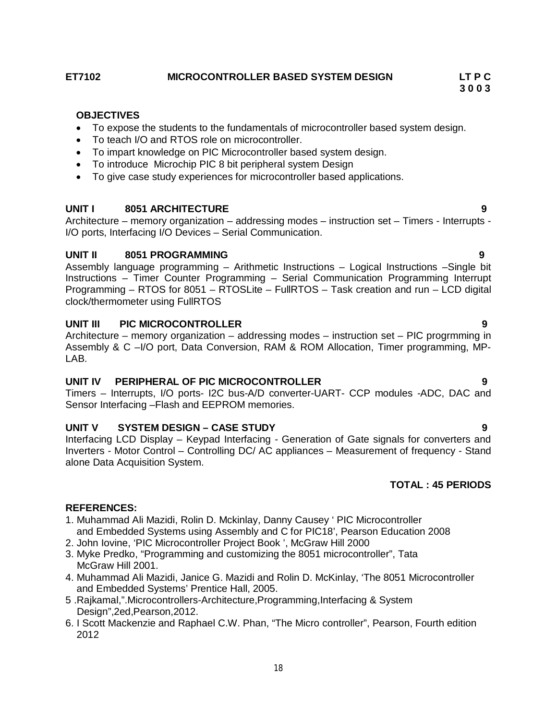# **ET7102 MICROCONTROLLER BASED SYSTEM DESIGN LT P C**

# **OBJECTIVES**

To expose the students to the fundamentals of microcontroller based system design.

 **3 0 0 3**

- To teach I/O and RTOS role on microcontroller.
- To impart knowledge on PIC Microcontroller based system design.
- To introduce Microchip PIC 8 bit peripheral system Design
- To give case study experiences for microcontroller based applications.

## **UNIT I 8051 ARCHITECTURE 9**

Architecture – memory organization – addressing modes – instruction set – Timers - Interrupts - I/O ports, Interfacing I/O Devices – Serial Communication.

# **UNIT II 8051 PROGRAMMING 9**

Assembly language programming – Arithmetic Instructions – Logical Instructions –Single bit Instructions – Timer Counter Programming – Serial Communication Programming Interrupt Programming – RTOS for 8051 – RTOSLite – FullRTOS – Task creation and run – LCD digital clock/thermometer using FullRTOS

# **UNIT III PIC MICROCONTROLLER 9**

Architecture – memory organization – addressing modes – instruction set – PIC progrmming in Assembly & C –I/O port, Data Conversion, RAM & ROM Allocation, Timer programming, MP-LAB.

## **UNIT IV PERIPHERAL OF PIC MICROCONTROLLER 9**

Timers – Interrupts, I/O ports- I2C bus-A/D converter-UART- CCP modules -ADC, DAC and Sensor Interfacing –Flash and EEPROM memories.

# **UNIT V SYSTEM DESIGN – CASE STUDY 9**

Interfacing LCD Display – Keypad Interfacing - Generation of Gate signals for converters and Inverters - Motor Control – Controlling DC/ AC appliances – Measurement of frequency - Stand alone Data Acquisition System.

# **TOTAL : 45 PERIODS**

# **REFERENCES:**

- 1. Muhammad Ali Mazidi, Rolin D. Mckinlay, Danny Causey ' PIC Microcontroller and Embedded Systems using Assembly and C for PIC18', Pearson Education 2008
- 2. John Iovine, 'PIC Microcontroller Project Book ', McGraw Hill 2000
- 3. Myke Predko, "Programming and customizing the 8051 microcontroller", Tata McGraw Hill 2001.
- 4. Muhammad Ali Mazidi, Janice G. Mazidi and Rolin D. McKinlay, 'The 8051 Microcontroller and Embedded Systems' Prentice Hall, 2005.
- 5 .Rajkamal,".Microcontrollers-Architecture,Programming,Interfacing & System Design",2ed,Pearson,2012.
- 6. I Scott Mackenzie and Raphael C.W. Phan, "The Micro controller", Pearson, Fourth edition 2012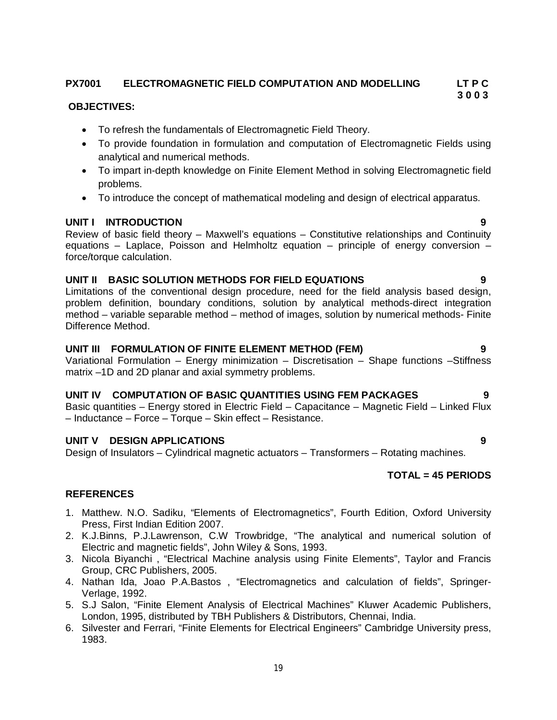### **PX7001 ELECTROMAGNETIC FIELD COMPUTATION AND MODELLING LT P C 3 0 0 3**

# **OBJECTIVES:**

- To refresh the fundamentals of Electromagnetic Field Theory.
- To provide foundation in formulation and computation of Electromagnetic Fields using analytical and numerical methods.
- To impart in-depth knowledge on Finite Element Method in solving Electromagnetic field problems.
- To introduce the concept of mathematical modeling and design of electrical apparatus.

# **UNIT I INTRODUCTION 9**

Review of basic field theory – Maxwell's equations – Constitutive relationships and Continuity equations  $-$  Laplace, Poisson and Helmholtz equation  $-$  principle of energy conversion  $$ force/torque calculation.

# **UNIT II BASIC SOLUTION METHODS FOR FIELD EQUATIONS 9**

Limitations of the conventional design procedure, need for the field analysis based design, problem definition, boundary conditions, solution by analytical methods-direct integration method – variable separable method – method of images, solution by numerical methods- Finite Difference Method.

# **UNIT III FORMULATION OF FINITE ELEMENT METHOD (FEM) 9**

Variational Formulation – Energy minimization – Discretisation – Shape functions –Stiffness matrix –1D and 2D planar and axial symmetry problems.

# **UNIT IV COMPUTATION OF BASIC QUANTITIES USING FEM PACKAGES 9**

Basic quantities – Energy stored in Electric Field – Capacitance – Magnetic Field – Linked Flux – Inductance – Force – Torque – Skin effect – Resistance.

# **UNIT V DESIGN APPLICATIONS 9**

Design of Insulators – Cylindrical magnetic actuators – Transformers – Rotating machines.

# **TOTAL = 45 PERIODS**

# **REFERENCES**

- 1. Matthew. N.O. Sadiku, "Elements of Electromagnetics", Fourth Edition, Oxford University Press, First Indian Edition 2007.
- 2. K.J.Binns, P.J.Lawrenson, C.W Trowbridge, "The analytical and numerical solution of Electric and magnetic fields", John Wiley & Sons, 1993.
- 3. Nicola Biyanchi , "Electrical Machine analysis using Finite Elements", Taylor and Francis Group, CRC Publishers, 2005.
- 4. Nathan Ida, Joao P.A.Bastos , "Electromagnetics and calculation of fields", Springer-Verlage, 1992.
- 5. S.J Salon, "Finite Element Analysis of Electrical Machines" Kluwer Academic Publishers, London, 1995, distributed by TBH Publishers & Distributors, Chennai, India.
- 6. Silvester and Ferrari, "Finite Elements for Electrical Engineers" Cambridge University press, 1983.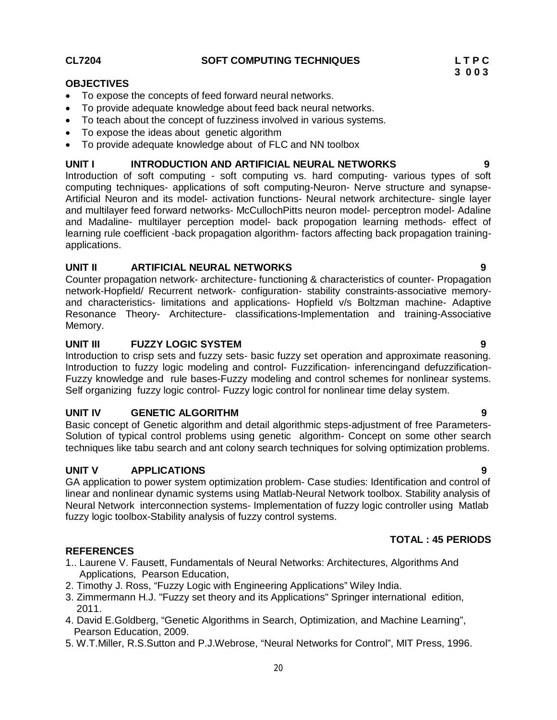# **CL7204 SOFT COMPUTING TECHNIQUES L T P C**

### **OBJECTIVES**

- To expose the concepts of feed forward neural networks.
- To provide adequate knowledge about feed back neural networks.
- To teach about the concept of fuzziness involved in various systems.
- To expose the ideas about genetic algorithm
- To provide adequate knowledge about of FLC and NN toolbox

### **UNIT I INTRODUCTION AND ARTIFICIAL NEURAL NETWORKS 9**

Introduction of soft computing - soft computing vs. hard computing- various types of soft computing techniques- applications of soft computing-Neuron- Nerve structure and synapse-Artificial Neuron and its model- activation functions- Neural network architecture- single layer and multilayer feed forward networks- McCullochPitts neuron model- perceptron model- Adaline and Madaline- multilayer perception model- back propogation learning methods- effect of learning rule coefficient -back propagation algorithm- factors affecting back propagation trainingapplications.

## **UNIT II ARTIFICIAL NEURAL NETWORKS 9**

Counter propagation network- architecture- functioning & characteristics of counter- Propagation network-Hopfield/ Recurrent network- configuration- stability constraints-associative memoryand characteristics- limitations and applications- Hopfield v/s Boltzman machine- Adaptive Resonance Theory- Architecture- classifications-Implementation and training-Associative Memory.

### **UNIT III FUZZY LOGIC SYSTEM 9**

Introduction to crisp sets and fuzzy sets- basic fuzzy set operation and approximate reasoning. Introduction to fuzzy logic modeling and control- Fuzzification- inferencingand defuzzification-Fuzzy knowledge and rule bases-Fuzzy modeling and control schemes for nonlinear systems. Self organizing fuzzy logic control- Fuzzy logic control for nonlinear time delay system.

## **UNIT IV GENETIC ALGORITHM 9**

Basic concept of Genetic algorithm and detail algorithmic steps-adjustment of free Parameters-Solution of typical control problems using genetic algorithm- Concept on some other search techniques like tabu search and ant colony search techniques for solving optimization problems.

## **UNIT V APPLICATIONS 9**

GA application to power system optimization problem- Case studies: Identification and control of linear and nonlinear dynamic systems using Matlab-Neural Network toolbox. Stability analysis of Neural Network interconnection systems- Implementation of fuzzy logic controller using Matlab fuzzy logic toolbox-Stability analysis of fuzzy control systems.

# **TOTAL : 45 PERIODS**

- **REFERENCES**
- 1.. Laurene V. Fausett, Fundamentals of Neural Networks: Architectures, Algorithms And Applications, Pearson Education,
- 2. Timothy J. Ross, "Fuzzy Logic with Engineering Applications" Wiley India.
- 3. Zimmermann H.J. "Fuzzy set theory and its Applications" Springer international edition, 2011.
- 4. David E.Goldberg, "Genetic Algorithms in Search, Optimization, and Machine Learning", Pearson Education, 2009.
- 5. W.T.Miller, R.S.Sutton and P.J.Webrose, "Neural Networks for Control", MIT Press, 1996.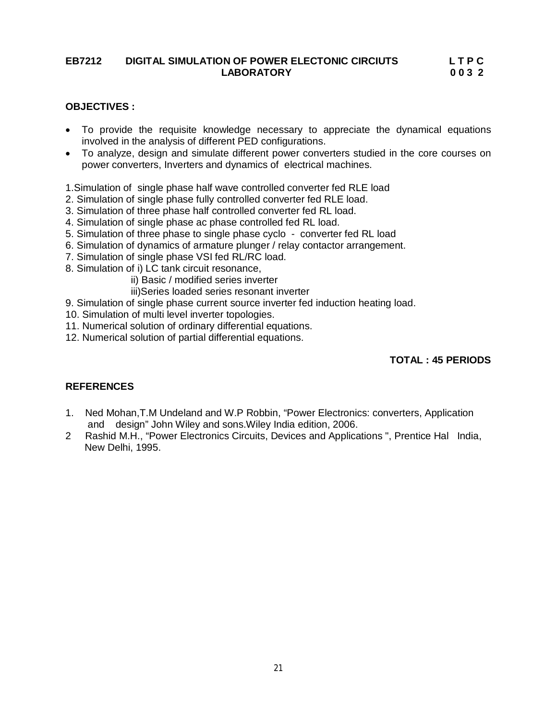# **EB7212 DIGITAL SIMULATION OF POWER ELECTONIC CIRCIUTS L T P C LABORATORY 0 0 3 2**

### **OBJECTIVES :**

- To provide the requisite knowledge necessary to appreciate the dynamical equations involved in the analysis of different PED configurations.
- To analyze, design and simulate different power converters studied in the core courses on power converters, Inverters and dynamics of electrical machines.
- 1.Simulation of single phase half wave controlled converter fed RLE load
- 2. Simulation of single phase fully controlled converter fed RLE load.
- 3. Simulation of three phase half controlled converter fed RL load.
- 4. Simulation of single phase ac phase controlled fed RL load.
- 5. Simulation of three phase to single phase cyclo converter fed RL load
- 6. Simulation of dynamics of armature plunger / relay contactor arrangement.
- 7. Simulation of single phase VSI fed RL/RC load.
- 8. Simulation of i) LC tank circuit resonance,
	- ii) Basic / modified series inverter
	- iii)Series loaded series resonant inverter
- 9. Simulation of single phase current source inverter fed induction heating load.
- 10. Simulation of multi level inverter topologies.
- 11. Numerical solution of ordinary differential equations.
- 12. Numerical solution of partial differential equations.

# **TOTAL : 45 PERIODS**

### **REFERENCES**

- 1. Ned Mohan,T.M Undeland and W.P Robbin, "Power Electronics: converters, Application and design" John Wiley and sons.Wiley India edition, 2006.
- Rashid M.H., "Power Electronics Circuits, Devices and Applications ", Prentice Hal India, New Delhi, 1995.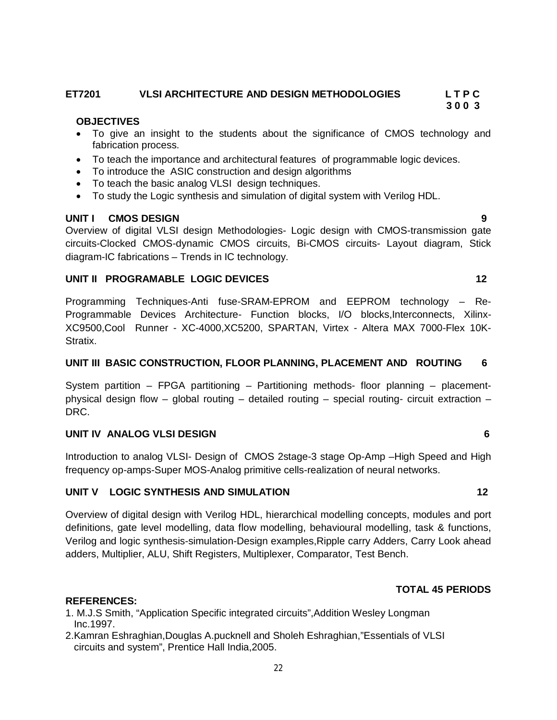# **ET7201 VLSI ARCHITECTURE AND DESIGN METHODOLOGIES L T P C 3 0 0 3**

### **OBJECTIVES**

- To give an insight to the students about the significance of CMOS technology and fabrication process.
- To teach the importance and architectural features of programmable logic devices.
- To introduce the ASIC construction and design algorithms
- To teach the basic analog VLSI design techniques.
- To study the Logic synthesis and simulation of digital system with Verilog HDL.

### **UNIT I CMOS DESIGN 9**

Overview of digital VLSI design Methodologies- Logic design with CMOS-transmission gate circuits-Clocked CMOS-dynamic CMOS circuits, Bi-CMOS circuits- Layout diagram, Stick diagram-IC fabrications – Trends in IC technology.

### **UNIT II PROGRAMABLE LOGIC DEVICES** 12

Programming Techniques-Anti fuse-SRAM-EPROM and EEPROM technology – Re-Programmable Devices Architecture- Function blocks, I/O blocks,Interconnects, Xilinx-XC9500,Cool Runner - XC-4000,XC5200, SPARTAN, Virtex - Altera MAX 7000-Flex 10K-Stratix.

### **UNIT III BASIC CONSTRUCTION, FLOOR PLANNING, PLACEMENT AND ROUTING 6**

System partition – FPGA partitioning – Partitioning methods- floor planning – placementphysical design flow – global routing – detailed routing – special routing- circuit extraction – DRC.

### **UNIT IV ANALOG VLSI DESIGN 6**

Introduction to analog VLSI- Design of CMOS 2stage-3 stage Op-Amp –High Speed and High frequency op-amps-Super MOS-Analog primitive cells-realization of neural networks.

## **UNIT V LOGIC SYNTHESIS AND SIMULATION 12**

Overview of digital design with Verilog HDL, hierarchical modelling concepts, modules and port definitions, gate level modelling, data flow modelling, behavioural modelling, task & functions, Verilog and logic synthesis-simulation-Design examples,Ripple carry Adders, Carry Look ahead adders, Multiplier, ALU, Shift Registers, Multiplexer, Comparator, Test Bench.

## **TOTAL 45 PERIODS**

## **REFERENCES:**

- 1. M.J.S Smith, "Application Specific integrated circuits",Addition Wesley Longman Inc.1997.
- 2.Kamran Eshraghian,Douglas A.pucknell and Sholeh Eshraghian,"Essentials of VLSI circuits and system", Prentice Hall India,2005.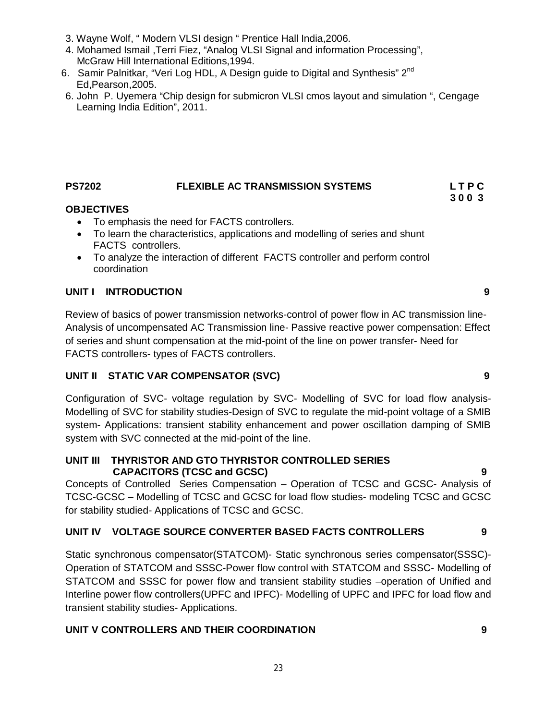- 3. Wayne Wolf, " Modern VLSI design " Prentice Hall India,2006.
- 4. Mohamed Ismail ,Terri Fiez, "Analog VLSI Signal and information Processing", McGraw Hill International Editions,1994.
- 6. Samir Palnitkar, "Veri Log HDL, A Design guide to Digital and Synthesis" 2<sup>nd</sup> Ed,Pearson,2005.
- 6. John P. Uyemera "Chip design for submicron VLSI cmos layout and simulation ", Cengage Learning India Edition", 2011.

# **PS7202 FLEXIBLE AC TRANSMISSION SYSTEMS L T P C**

# **OBJECTIVES**

- To emphasis the need for FACTS controllers.
- To learn the characteristics, applications and modelling of series and shunt FACTS controllers.
- To analyze the interaction of different FACTS controller and perform control coordination

# **UNIT I INTRODUCTION 9**

Review of basics of power transmission networks-control of power flow in AC transmission line-Analysis of uncompensated AC Transmission line- Passive reactive power compensation: Effect of series and shunt compensation at the mid-point of the line on power transfer- Need for FACTS controllers- types of FACTS controllers.

# **UNIT II STATIC VAR COMPENSATOR (SVC) 9**

Configuration of SVC- voltage regulation by SVC- Modelling of SVC for load flow analysis-Modelling of SVC for stability studies-Design of SVC to regulate the mid-point voltage of a SMIB system- Applications: transient stability enhancement and power oscillation damping of SMIB system with SVC connected at the mid-point of the line.

**UNIT III THYRISTOR AND GTO THYRISTOR CONTROLLED SERIES CAPACITORS (TCSC and GCSC) 9**

Concepts of Controlled Series Compensation – Operation of TCSC and GCSC- Analysis of TCSC-GCSC – Modelling of TCSC and GCSC for load flow studies- modeling TCSC and GCSC for stability studied- Applications of TCSC and GCSC.

# **UNIT IV VOLTAGE SOURCE CONVERTER BASED FACTS CONTROLLERS 9**

Static synchronous compensator(STATCOM)- Static synchronous series compensator(SSSC)- Operation of STATCOM and SSSC-Power flow control with STATCOM and SSSC- Modelling of STATCOM and SSSC for power flow and transient stability studies –operation of Unified and Interline power flow controllers(UPFC and IPFC)- Modelling of UPFC and IPFC for load flow and transient stability studies- Applications.

# **UNIT V CONTROLLERS AND THEIR COORDINATION 9**

**3 0 0 3**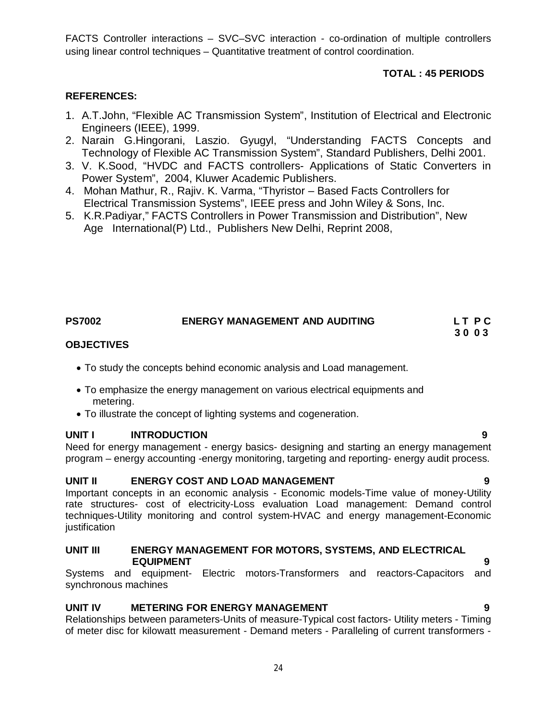FACTS Controller interactions – SVC–SVC interaction - co-ordination of multiple controllers using linear control techniques – Quantitative treatment of control coordination.

# **TOTAL : 45 PERIODS**

# **REFERENCES:**

- 1. A.T.John, "Flexible AC Transmission System", Institution of Electrical and Electronic Engineers (IEEE), 1999.
- 2. Narain G.Hingorani, Laszio. Gyugyl, "Understanding FACTS Concepts and Technology of Flexible AC Transmission System", Standard Publishers, Delhi 2001.
- 3. V. K.Sood, "HVDC and FACTS controllers- Applications of Static Converters in Power System", 2004, Kluwer Academic Publishers.
- 4. Mohan Mathur, R., Rajiv. K. Varma, "Thyristor Based Facts Controllers for Electrical Transmission Systems", IEEE press and John Wiley & Sons, Inc.
- 5. K.R.Padiyar," FACTS Controllers in Power Transmission and Distribution", New Age International(P) Ltd., Publishers New Delhi, Reprint 2008,

# **PS7002 ENERGY MANAGEMENT AND AUDITING L T P C**

 **3 0 0 3**

## **OBJECTIVES**

- To study the concepts behind economic analysis and Load management.
- To emphasize the energy management on various electrical equipments and metering.
- To illustrate the concept of lighting systems and cogeneration.

## **UNIT I INTRODUCTION 9**

Need for energy management - energy basics- designing and starting an energy management program – energy accounting -energy monitoring, targeting and reporting- energy audit process.

## **UNIT II ENERGY COST AND LOAD MANAGEMENT 9**

Important concepts in an economic analysis - Economic models-Time value of money-Utility rate structures- cost of electricity-Loss evaluation Load management: Demand control techniques-Utility monitoring and control system-HVAC and energy management-Economic justification

### **UNIT III ENERGY MANAGEMENT FOR MOTORS, SYSTEMS, AND ELECTRICAL EQUIPMENT 9**

Systems and equipment- Electric motors-Transformers and reactors-Capacitors and synchronous machines

# **UNIT IV METERING FOR ENERGY MANAGEMENT 9**

Relationships between parameters-Units of measure-Typical cost factors- Utility meters - Timing of meter disc for kilowatt measurement - Demand meters - Paralleling of current transformers -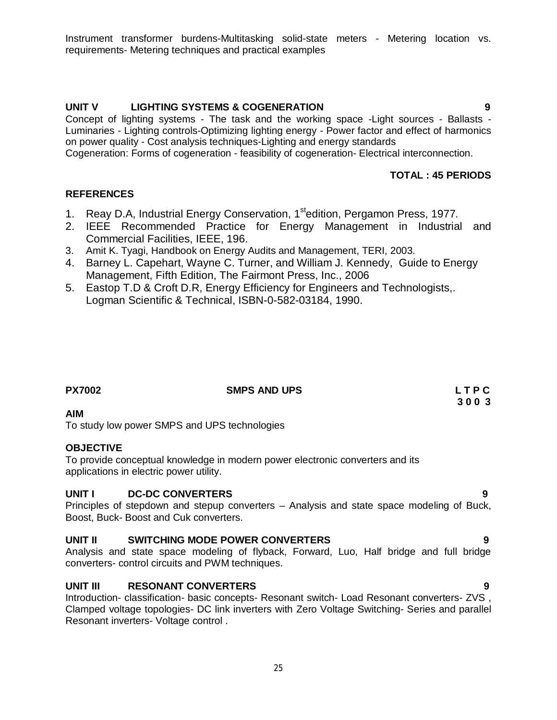# **UNIT V LIGHTING SYSTEMS & COGENERATION 9**

Concept of lighting systems - The task and the working space -Light sources - Ballasts - Luminaries - Lighting controls-Optimizing lighting energy - Power factor and effect of harmonics on power quality - Cost analysis techniques-Lighting and energy standards

Cogeneration: Forms of cogeneration - feasibility of cogeneration- Electrical interconnection.

## **TOTAL : 45 PERIODS**

### **REFERENCES**

- 1. Reay D.A, Industrial Energy Conservation, 1stedition, Pergamon Press, 1977*.*
- 2. IEEE Recommended Practice for Energy Management in Industrial and Commercial Facilities, IEEE, 196.
- 3. Amit K. Tyagi, Handbook on Energy Audits and Management, TERI, 2003.
- 4. Barney L. Capehart, Wayne C. Turner, and William J. Kennedy, Guide to Energy Management, Fifth Edition, The Fairmont Press, Inc., 2006
- 5. Eastop T.D & Croft D.R, Energy Efficiency for Engineers and Technologists,. Logman Scientific & Technical, ISBN-0-582-03184, 1990.

| <b>PX7002</b> | <b>SMPS AND UPS</b> | LTPC |
|---------------|---------------------|------|
|               |                     | 3003 |
| ----          |                     |      |

### **AIM**

To study low power SMPS and UPS technologies

### **OBJECTIVE**

To provide conceptual knowledge in modern power electronic converters and its applications in electric power utility.

### **UNIT I DC-DC CONVERTERS 9**

Principles of stepdown and stepup converters – Analysis and state space modeling of Buck, Boost, Buck- Boost and Cuk converters.

# **UNIT II SWITCHING MODE POWER CONVERTERS 9**

Analysis and state space modeling of flyback, Forward, Luo, Half bridge and full bridge converters- control circuits and PWM techniques.

### **UNIT III RESONANT CONVERTERS 9**

Introduction- classification- basic concepts- Resonant switch- Load Resonant converters- ZVS , Clamped voltage topologies- DC link inverters with Zero Voltage Switching- Series and parallel Resonant inverters- Voltage control .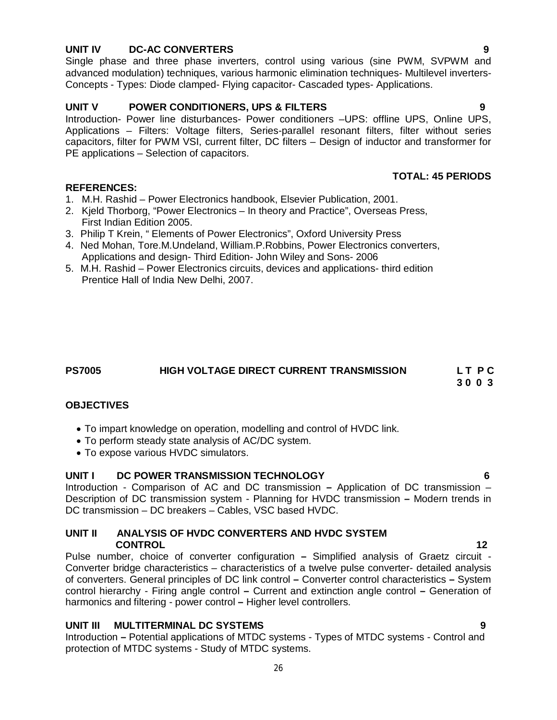# **UNIT IV DC-AC CONVERTERS 9**

Single phase and three phase inverters, control using various (sine PWM, SVPWM and advanced modulation) techniques, various harmonic elimination techniques- Multilevel inverters-Concepts - Types: Diode clamped- Flying capacitor- Cascaded types- Applications.

# **UNIT V POWER CONDITIONERS, UPS & FILTERS 9**

Introduction- Power line disturbances- Power conditioners –UPS: offline UPS, Online UPS, Applications – Filters: Voltage filters, Series-parallel resonant filters, filter without series capacitors, filter for PWM VSI, current filter, DC filters – Design of inductor and transformer for PE applications – Selection of capacitors.

# **TOTAL: 45 PERIODS**

- 1. M.H. Rashid Power Electronics handbook, Elsevier Publication, 2001.
- 2. Kjeld Thorborg, "Power Electronics In theory and Practice", Overseas Press, First Indian Edition 2005.
- 3. Philip T Krein, " Elements of Power Electronics", Oxford University Press
- 4. Ned Mohan, Tore.M.Undeland, William.P.Robbins, Power Electronics converters, Applications and design- Third Edition- John Wiley and Sons- 2006
- 5. M.H. Rashid Power Electronics circuits, devices and applications- third edition Prentice Hall of India New Delhi, 2007.

# **PS7005 HIGH VOLTAGE DIRECT CURRENT TRANSMISSION L T P C**

 **3 0 0 3**

## **OBJECTIVES**

**REFERENCES:**

- To impart knowledge on operation, modelling and control of HVDC link.
- To perform steady state analysis of AC/DC system.
- To expose various HVDC simulators.

### UNIT I DC POWER TRANSMISSION TECHNOLOGY

Introduction - Comparison of AC and DC transmission **–** Application of DC transmission – Description of DC transmission system - Planning for HVDC transmission **–** Modern trends in DC transmission – DC breakers – Cables, VSC based HVDC.

# **UNIT II ANALYSIS OF HVDC CONVERTERS AND HVDC SYSTEM CONTROL** 12

Pulse number, choice of converter configuration **–** Simplified analysis of Graetz circuit - Converter bridge characteristics – characteristics of a twelve pulse converter- detailed analysis of converters. General principles of DC link control **–** Converter control characteristics **–** System control hierarchy - Firing angle control **–** Current and extinction angle control **–** Generation of harmonics and filtering - power control **–** Higher level controllers.

## **UNIT III MULTITERMINAL DC SYSTEMS 9**

Introduction **–** Potential applications of MTDC systems - Types of MTDC systems - Control and protection of MTDC systems - Study of MTDC systems.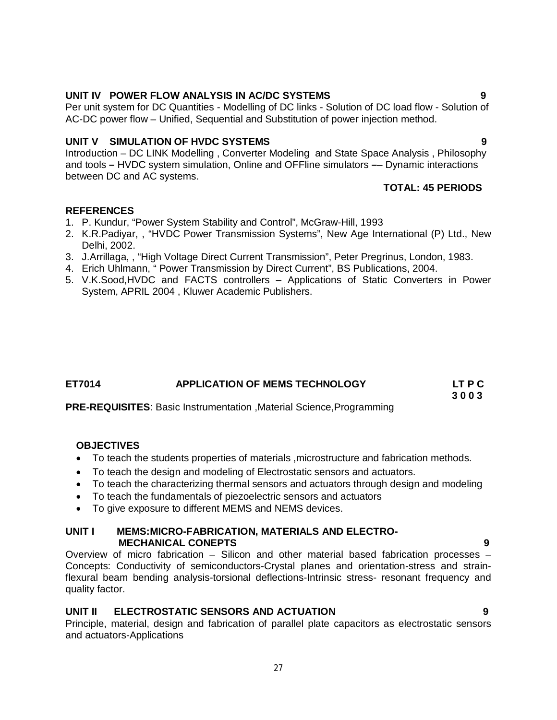# **UNIT IV POWER FLOW ANALYSIS IN AC/DC SYSTEMS 9**

Per unit system for DC Quantities - Modelling of DC links - Solution of DC load flow - Solution of AC-DC power flow – Unified, Sequential and Substitution of power injection method.

## **UNIT V SIMULATION OF HVDC SYSTEMS 9**

Introduction – DC LINK Modelling , Converter Modeling and State Space Analysis , Philosophy and tools **–** HVDC system simulation, Online and OFFline simulators **–**– Dynamic interactions between DC and AC systems.

# **TOTAL: 45 PERIODS**

### **REFERENCES**

- 1. P. Kundur, "Power System Stability and Control", McGraw-Hill, 1993
- 2. K.R.Padiyar, , "HVDC Power Transmission Systems", New Age International (P) Ltd., New Delhi, 2002.
- 3. J.Arrillaga, , "High Voltage Direct Current Transmission", Peter Pregrinus, London, 1983.
- 4. Erich Uhlmann, " Power Transmission by Direct Current", BS Publications, 2004.
- 5. V.K.Sood,HVDC and FACTS controllers Applications of Static Converters in Power System, APRIL 2004 , Kluwer Academic Publishers.

| ET7014 | <b>APPLICATION OF MEMS TECHNOLOGY</b> | LT P C |
|--------|---------------------------------------|--------|
|        |                                       |        |

 **3 0 0 3 PRE-REQUISITES**: Basic Instrumentation ,Material Science,Programming

### **OBJECTIVES**

- To teach the students properties of materials ,microstructure and fabrication methods.
- To teach the design and modeling of Electrostatic sensors and actuators.
- To teach the characterizing thermal sensors and actuators through design and modeling
- To teach the fundamentals of piezoelectric sensors and actuators
- To give exposure to different MEMS and NEMS devices.

### **UNIT I MEMS:MICRO-FABRICATION, MATERIALS AND ELECTRO- MECHANICAL CONEPTS 9**

Overview of micro fabrication – Silicon and other material based fabrication processes – Concepts: Conductivity of semiconductors-Crystal planes and orientation-stress and strainflexural beam bending analysis-torsional deflections-Intrinsic stress- resonant frequency and quality factor.

## **UNIT II ELECTROSTATIC SENSORS AND ACTUATION 9**

Principle, material, design and fabrication of parallel plate capacitors as electrostatic sensors and actuators-Applications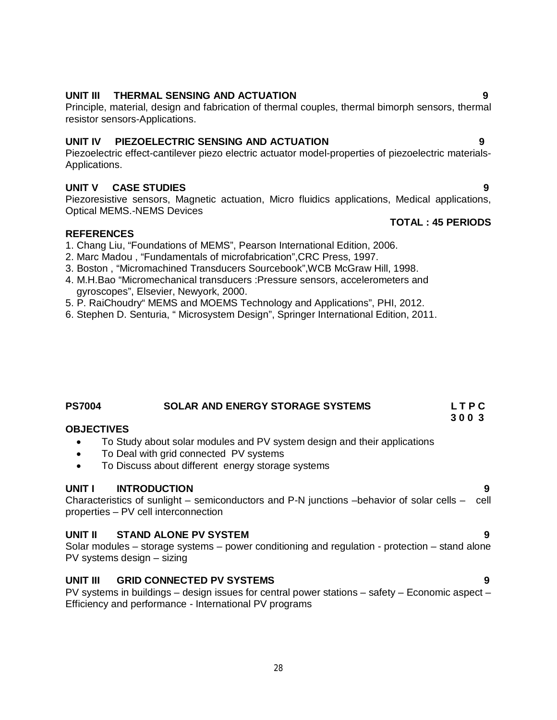# **UNIT III THERMAL SENSING AND ACTUATION 9**

Principle, material, design and fabrication of thermal couples, thermal bimorph sensors, thermal resistor sensors-Applications.

## **UNIT IV PIEZOELECTRIC SENSING AND ACTUATION 9**

Piezoelectric effect-cantilever piezo electric actuator model-properties of piezoelectric materials-Applications.

### **UNIT V CASE STUDIES 9**

Piezoresistive sensors, Magnetic actuation, Micro fluidics applications, Medical applications, Optical MEMS.-NEMS Devices

### **REFERENCES**

- 1. Chang Liu, "Foundations of MEMS", Pearson International Edition, 2006.
- 2. Marc Madou , "Fundamentals of microfabrication",CRC Press, 1997.
- 3. Boston , "Micromachined Transducers Sourcebook",WCB McGraw Hill, 1998.
- 4. M.H.Bao "Micromechanical transducers :Pressure sensors, accelerometers and gyroscopes", Elsevier, Newyork, 2000.
- 5. P. RaiChoudry" MEMS and MOEMS Technology and Applications", PHI, 2012.
- 6. Stephen D. Senturia, " Microsystem Design", Springer International Edition, 2011.

# **PS7004 SOLAR AND ENERGY STORAGE SYSTEMS L T P C**

### **OBJECTIVES**

- To Study about solar modules and PV system design and their applications
- To Deal with grid connected PV systems
- To Discuss about different energy storage systems

### **UNIT I INTRODUCTION 9**

Characteristics of sunlight – semiconductors and P-N junctions –behavior of solar cells – cell properties – PV cell interconnection

### **UNIT II STAND ALONE PV SYSTEM 9**

Solar modules – storage systems – power conditioning and regulation - protection – stand alone PV systems design – sizing

### **UNIT III GRID CONNECTED PV SYSTEMS 9**

PV systems in buildings – design issues for central power stations – safety – Economic aspect – Efficiency and performance - International PV programs

# **TOTAL : 45 PERIODS**

 **3 0 0 3**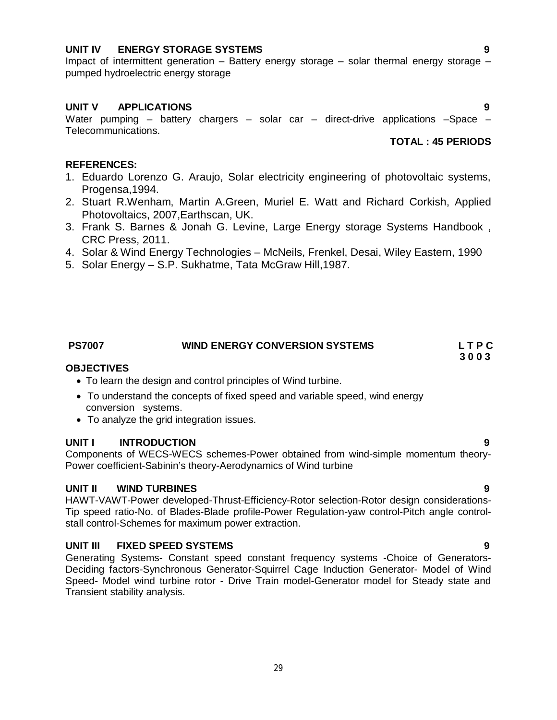### **UNIT IV ENERGY STORAGE SYSTEMS 9**

Impact of intermittent generation – Battery energy storage – solar thermal energy storage – pumped hydroelectric energy storage

### **UNIT V APPLICATIONS 9**

Water pumping – battery chargers – solar car – direct-drive applications –Space – Telecommunications.

### **TOTAL : 45 PERIODS**

### **REFERENCES:**

- 1. Eduardo Lorenzo G. Araujo, Solar electricity engineering of photovoltaic systems, Progensa,1994.
- 2. Stuart R.Wenham, Martin A.Green, Muriel E. Watt and Richard Corkish, Applied Photovoltaics, 2007,Earthscan, UK.
- 3. Frank S. Barnes & Jonah G. Levine, Large Energy storage Systems Handbook , CRC Press, 2011.
- 4. Solar & Wind Energy Technologies McNeils, Frenkel, Desai, Wiley Eastern, 1990
- 5. Solar Energy S.P. Sukhatme, Tata McGraw Hill,1987.

# PS7007 WIND ENERGY CONVERSION SYSTEMS L T P C<br>3 0 0 3

 **3 0 0 3**

### **OBJECTIVES**

- To learn the design and control principles of Wind turbine.
- To understand the concepts of fixed speed and variable speed, wind energy conversion systems.
- To analyze the grid integration issues.

### **UNIT I INTRODUCTION 9**

Components of WECS-WECS schemes-Power obtained from wind-simple momentum theory-Power coefficient-Sabinin's theory-Aerodynamics of Wind turbine

### **UNIT II WIND TURBINES 9**

HAWT-VAWT-Power developed-Thrust-Efficiency-Rotor selection-Rotor design considerations-Tip speed ratio-No. of Blades-Blade profile-Power Regulation-yaw control-Pitch angle controlstall control-Schemes for maximum power extraction.

## **UNIT III FIXED SPEED SYSTEMS 9**

Generating Systems- Constant speed constant frequency systems -Choice of Generators-Deciding factors-Synchronous Generator-Squirrel Cage Induction Generator- Model of Wind Speed- Model wind turbine rotor - Drive Train model-Generator model for Steady state and Transient stability analysis.

29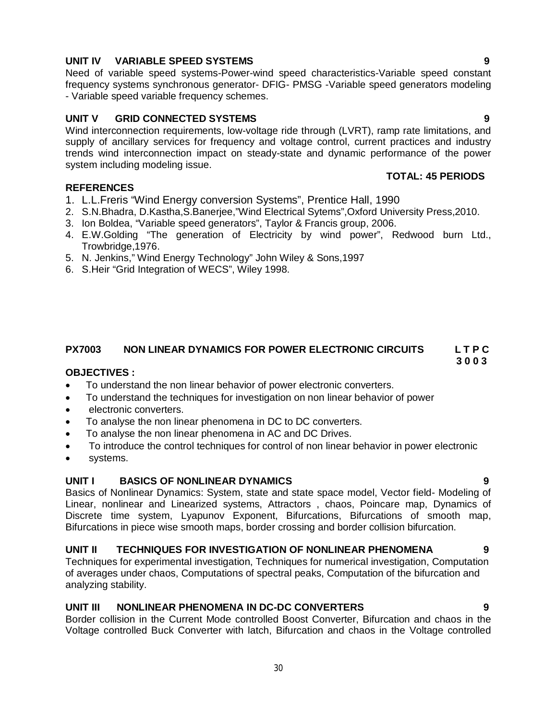- 1. L.L.Freris "Wind Energy conversion Systems", Prentice Hall, 1990
- 2. S.N.Bhadra, D.Kastha,S.Banerjee,"Wind Electrical Sytems",Oxford University Press,2010.
- 3. Ion Boldea, "Variable speed generators", Taylor & Francis group, 2006.
- 4. E.W.Golding "The generation of Electricity by wind power", Redwood burn Ltd., Trowbridge,1976.
- 5. N. Jenkins," Wind Energy Technology" John Wiley & Sons,1997
- 6. S.Heir "Grid Integration of WECS", Wiley 1998.

### **PX7003 NON LINEAR DYNAMICS FOR POWER ELECTRONIC CIRCUITS L T P C 3 0 0 3**

### **OBJECTIVES :**

**REFERENCES**

- To understand the non linear behavior of power electronic converters.
- To understand the techniques for investigation on non linear behavior of power
- electronic converters.
- To analyse the non linear phenomena in DC to DC converters.
- To analyse the non linear phenomena in AC and DC Drives.
- To introduce the control techniques for control of non linear behavior in power electronic
- systems.

### **UNIT I BASICS OF NONLINEAR DYNAMICS 9**

Basics of Nonlinear Dynamics: System, state and state space model, Vector field- Modeling of Linear, nonlinear and Linearized systems, Attractors , chaos, Poincare map, Dynamics of Discrete time system, Lyapunov Exponent, Bifurcations, Bifurcations of smooth map, Bifurcations in piece wise smooth maps, border crossing and border collision bifurcation.

### **UNIT II TECHNIQUES FOR INVESTIGATION OF NONLINEAR PHENOMENA 9**

Techniques for experimental investigation, Techniques for numerical investigation, Computation of averages under chaos, Computations of spectral peaks, Computation of the bifurcation and analyzing stability.

### **UNIT III NONLINEAR PHENOMENA IN DC-DC CONVERTERS 9**

Border collision in the Current Mode controlled Boost Converter, Bifurcation and chaos in the Voltage controlled Buck Converter with latch, Bifurcation and chaos in the Voltage controlled

Need of variable speed systems-Power-wind speed characteristics-Variable speed constant frequency systems synchronous generator- DFIG- PMSG -Variable speed generators modeling - Variable speed variable frequency schemes.

### **UNIT V GRID CONNECTED SYSTEMS 9**

Wind interconnection requirements, low-voltage ride through (LVRT), ramp rate limitations, and supply of ancillary services for frequency and voltage control, current practices and industry trends wind interconnection impact on steady-state and dynamic performance of the power system including modeling issue.

### **TOTAL: 45 PERIODS**

30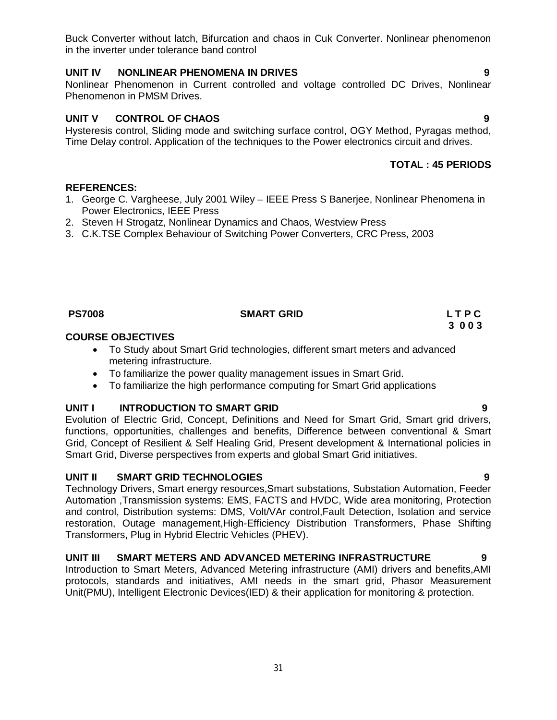Buck Converter without latch, Bifurcation and chaos in Cuk Converter. Nonlinear phenomenon in the inverter under tolerance band control

# **UNIT IV NONLINEAR PHENOMENA IN DRIVES 9**

Nonlinear Phenomenon in Current controlled and voltage controlled DC Drives, Nonlinear Phenomenon in PMSM Drives.

## **UNIT V CONTROL OF CHAOS 9**

Hysteresis control, Sliding mode and switching surface control, OGY Method, Pyragas method, Time Delay control. Application of the techniques to the Power electronics circuit and drives.

# **TOTAL : 45 PERIODS**

## **REFERENCES:**

- 1. George C. Vargheese, July 2001 Wiley IEEE Press S Banerjee, Nonlinear Phenomena in Power Electronics, IEEE Press
- 2. Steven H Strogatz, Nonlinear Dynamics and Chaos, Westview Press
- 3. C.K.TSE Complex Behaviour of Switching Power Converters, CRC Press, 2003

### **PS7008 SMART GRID L T P C**

## **COURSE OBJECTIVES**

- To Study about Smart Grid technologies, different smart meters and advanced metering infrastructure.
- To familiarize the power quality management issues in Smart Grid.
- To familiarize the high performance computing for Smart Grid applications

## **UNIT I INTRODUCTION TO SMART GRID 9**

Evolution of Electric Grid, Concept, Definitions and Need for Smart Grid, Smart grid drivers, functions, opportunities, challenges and benefits, Difference between conventional & Smart Grid, Concept of Resilient & Self Healing Grid, Present development & International policies in Smart Grid, Diverse perspectives from experts and global Smart Grid initiatives.

## **UNIT II SMART GRID TECHNOLOGIES 9**

Technology Drivers, Smart energy resources,Smart substations, Substation Automation, Feeder Automation ,Transmission systems: EMS, FACTS and HVDC, Wide area monitoring, Protection and control, Distribution systems: DMS, Volt/VAr control,Fault Detection, Isolation and service restoration, Outage management,High-Efficiency Distribution Transformers, Phase Shifting Transformers, Plug in Hybrid Electric Vehicles (PHEV).

## **UNIT III SMART METERS AND ADVANCED METERING INFRASTRUCTURE 9**

Introduction to Smart Meters, Advanced Metering infrastructure (AMI) drivers and benefits,AMI protocols, standards and initiatives, AMI needs in the smart grid, Phasor Measurement Unit(PMU), Intelligent Electronic Devices(IED) & their application for monitoring & protection.

 **3 0 0 3**